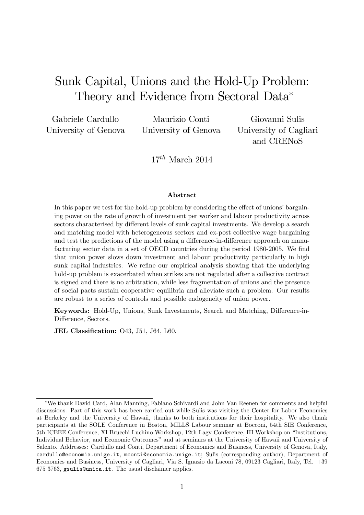# Sunk Capital, Unions and the Hold-Up Problem: Theory and Evidence from Sectoral Data

Gabriele Cardullo University of Genova

Maurizio Conti University of Genova

Giovanni Sulis University of Cagliari and CRENoS

 $17^{th}$  March 2014

#### Abstract

In this paper we test for the hold-up problem by considering the effect of unions' bargaining power on the rate of growth of investment per worker and labour productivity across sectors characterised by different levels of sunk capital investments. We develop a search and matching model with heterogeneous sectors and ex-post collective wage bargaining and test the predictions of the model using a difference-in-difference approach on manufacturing sector data in a set of OECD countries during the period 1980-2005. We find that union power slows down investment and labour productivity particularly in high sunk capital industries. We refine our empirical analysis showing that the underlying hold-up problem is exacerbated when strikes are not regulated after a collective contract is signed and there is no arbitration, while less fragmentation of unions and the presence of social pacts sustain cooperative equilibria and alleviate such a problem. Our results are robust to a series of controls and possible endogeneity of union power.

Keywords: Hold-Up, Unions, Sunk Investments, Search and Matching, Difference-in-Difference, Sectors.

JEL Classification: 043, J51, J64, L60.

We thank David Card, Alan Manning, Fabiano Schivardi and John Van Reenen for comments and helpful discussions. Part of this work has been carried out while Sulis was visiting the Center for Labor Economics at Berkeley and the University of Hawaii, thanks to both institutions for their hospitality. We also thank participants at the SOLE Conference in Boston, MILLS Labour seminar at Bocconi, 54th SIE Conference, 5th ICEEE Conference, XI Brucchi Luchino Workshop, 12th Lagy Conference, III Workshop on "Institutions, Individual Behavior, and Economic Outcomes" and at seminars at the University of Hawaii and University of Salento. Addresses: Cardullo and Conti, Department of Economics and Business, University of Genova, Italy, cardullo@economia.unige.it, mconti@economia.unige.it; Sulis (corresponding author), Department of Economics and Business, University of Cagliari, Via S. Ignazio da Laconi 78, 09123 Cagliari, Italy, Tel. +39 675 3763, gsulis@unica.it. The usual disclaimer applies.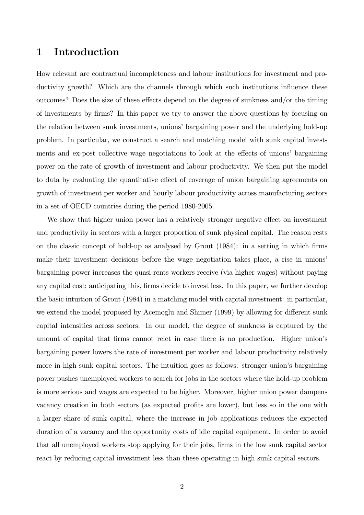## 1 Introduction

How relevant are contractual incompleteness and labour institutions for investment and productivity growth? Which are the channels through which such institutions influence these outcomes? Does the size of these effects depend on the degree of sunkness and/or the timing of investments by Örms? In this paper we try to answer the above questions by focusing on the relation between sunk investments, unions' bargaining power and the underlying hold-up problem. In particular, we construct a search and matching model with sunk capital investments and ex-post collective wage negotiations to look at the effects of unions' bargaining power on the rate of growth of investment and labour productivity. We then put the model to data by evaluating the quantitative effect of coverage of union bargaining agreements on growth of investment per worker and hourly labour productivity across manufacturing sectors in a set of OECD countries during the period 1980-2005.

We show that higher union power has a relatively stronger negative effect on investment and productivity in sectors with a larger proportion of sunk physical capital. The reason rests on the classic concept of hold-up as analysed by Grout (1984): in a setting in which firms make their investment decisions before the wage negotiation takes place, a rise in unions' bargaining power increases the quasi-rents workers receive (via higher wages) without paying any capital cost; anticipating this, firms decide to invest less. In this paper, we further develop the basic intuition of Grout (1984) in a matching model with capital investment: in particular, we extend the model proposed by Acemoglu and Shimer (1999) by allowing for different sunk capital intensities across sectors. In our model, the degree of sunkness is captured by the amount of capital that firms cannot relet in case there is no production. Higher union's bargaining power lowers the rate of investment per worker and labour productivity relatively more in high sunk capital sectors. The intuition goes as follows: stronger union's bargaining power pushes unemployed workers to search for jobs in the sectors where the hold-up problem is more serious and wages are expected to be higher. Moreover, higher union power dampens vacancy creation in both sectors (as expected profits are lower), but less so in the one with a larger share of sunk capital, where the increase in job applications reduces the expected duration of a vacancy and the opportunity costs of idle capital equipment. In order to avoid that all unemployed workers stop applying for their jobs, Örms in the low sunk capital sector react by reducing capital investment less than these operating in high sunk capital sectors.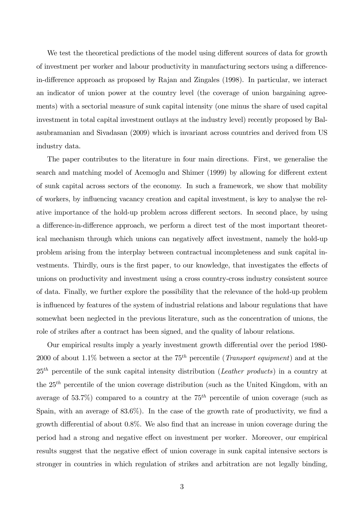We test the theoretical predictions of the model using different sources of data for growth of investment per worker and labour productivity in manufacturing sectors using a differencein-difference approach as proposed by Rajan and Zingales (1998). In particular, we interact an indicator of union power at the country level (the coverage of union bargaining agreements) with a sectorial measure of sunk capital intensity (one minus the share of used capital investment in total capital investment outlays at the industry level) recently proposed by Balasubramanian and Sivadasan (2009) which is invariant across countries and derived from US industry data.

The paper contributes to the literature in four main directions. First, we generalise the search and matching model of Acemoglu and Shimer (1999) by allowing for different extent of sunk capital across sectors of the economy. In such a framework, we show that mobility of workers, by ináuencing vacancy creation and capital investment, is key to analyse the relative importance of the hold-up problem across different sectors. In second place, by using a difference-in-difference approach, we perform a direct test of the most important theoretical mechanism through which unions can negatively affect investment, namely the hold-up problem arising from the interplay between contractual incompleteness and sunk capital investments. Thirdly, ours is the first paper, to our knowledge, that investigates the effects of unions on productivity and investment using a cross country-cross industry consistent source of data. Finally, we further explore the possibility that the relevance of the hold-up problem is influenced by features of the system of industrial relations and labour regulations that have somewhat been neglected in the previous literature, such as the concentration of unions, the role of strikes after a contract has been signed, and the quality of labour relations.

Our empirical results imply a yearly investment growth differential over the period 1980-2000 of about 1.1% between a sector at the  $75<sup>th</sup>$  percentile (*Transport equipment*) and at the  $25<sup>th</sup>$  percentile of the sunk capital intensity distribution (Leather products) in a country at the  $25<sup>th</sup>$  percentile of the union coverage distribution (such as the United Kingdom, with an average of 53.7%) compared to a country at the  $75<sup>th</sup>$  percentile of union coverage (such as Spain, with an average of  $83.6\%$ ). In the case of the growth rate of productivity, we find a growth differential of about  $0.8\%$ . We also find that an increase in union coverage during the period had a strong and negative effect on investment per worker. Moreover, our empirical results suggest that the negative effect of union coverage in sunk capital intensive sectors is stronger in countries in which regulation of strikes and arbitration are not legally binding,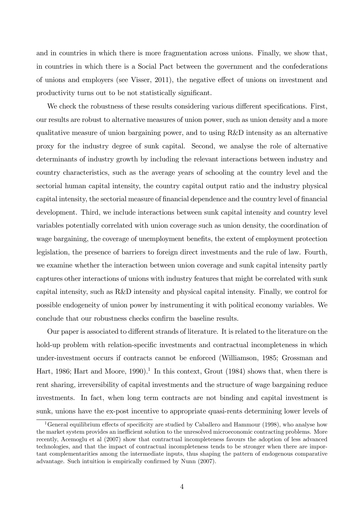and in countries in which there is more fragmentation across unions. Finally, we show that, in countries in which there is a Social Pact between the government and the confederations of unions and employers (see Visser, 2011), the negative effect of unions on investment and productivity turns out to be not statistically significant.

We check the robustness of these results considering various different specifications. First, our results are robust to alternative measures of union power, such as union density and a more qualitative measure of union bargaining power, and to using R&D intensity as an alternative proxy for the industry degree of sunk capital. Second, we analyse the role of alternative determinants of industry growth by including the relevant interactions between industry and country characteristics, such as the average years of schooling at the country level and the sectorial human capital intensity, the country capital output ratio and the industry physical capital intensity, the sectorial measure of financial dependence and the country level of financial development. Third, we include interactions between sunk capital intensity and country level variables potentially correlated with union coverage such as union density, the coordination of wage bargaining, the coverage of unemployment benefits, the extent of employment protection legislation, the presence of barriers to foreign direct investments and the rule of law. Fourth, we examine whether the interaction between union coverage and sunk capital intensity partly captures other interactions of unions with industry features that might be correlated with sunk capital intensity, such as R&D intensity and physical capital intensity. Finally, we control for possible endogeneity of union power by instrumenting it with political economy variables. We conclude that our robustness checks confirm the baseline results.

Our paper is associated to different strands of literature. It is related to the literature on the hold-up problem with relation-specific investments and contractual incompleteness in which under-investment occurs if contracts cannot be enforced (Williamson, 1985; Grossman and Hart, 1986; Hart and Moore, 1990).<sup>1</sup> In this context, Grout  $(1984)$  shows that, when there is rent sharing, irreversibility of capital investments and the structure of wage bargaining reduce investments. In fact, when long term contracts are not binding and capital investment is sunk, unions have the ex-post incentive to appropriate quasi-rents determining lower levels of

<sup>&</sup>lt;sup>1</sup>General equilibrium effects of specificity are studied by Caballero and Hammour (1998), who analyse how the market system provides an inefficient solution to the unresolved microeconomic contracting problems. More recently, Acemoglu et al (2007) show that contractual incompleteness favours the adoption of less advanced technologies, and that the impact of contractual incompleteness tends to be stronger when there are important complementarities among the intermediate inputs, thus shaping the pattern of endogenous comparative advantage. Such intuition is empirically confirmed by Nunn (2007).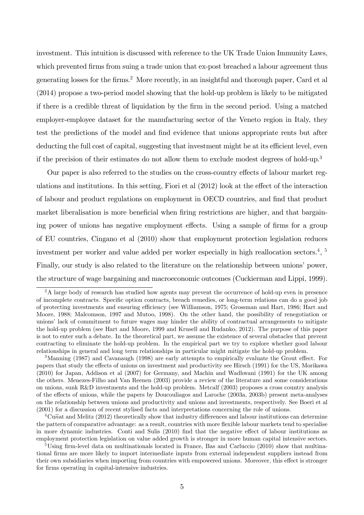investment. This intuition is discussed with reference to the UK Trade Union Immunity Laws, which prevented firms from suing a trade union that ex-post breached a labour agreement thus generating losses for the Örms.<sup>2</sup> More recently, in an insightful and thorough paper, Card et al (2014) propose a two-period model showing that the hold-up problem is likely to be mitigated if there is a credible threat of liquidation by the Örm in the second period. Using a matched employer-employee dataset for the manufacturing sector of the Veneto region in Italy, they test the predictions of the model and find evidence that unions appropriate rents but after deducting the full cost of capital, suggesting that investment might be at its efficient level, even if the precision of their estimates do not allow them to exclude modest degrees of hold-up.<sup>3</sup>

Our paper is also referred to the studies on the cross-country effects of labour market regulations and institutions. In this setting, Fiori et al  $(2012)$  look at the effect of the interaction of labour and product regulations on employment in OECD countries, and Önd that product market liberalisation is more beneficial when firing restrictions are higher, and that bargaining power of unions has negative employment effects. Using a sample of firms for a group of EU countries, Cingano et al (2010) show that employment protection legislation reduces investment per worker and value added per worker especially in high reallocation sectors.<sup>4</sup>, <sup>5</sup> Finally, our study is also related to the literature on the relationship between unions' power, the structure of wage bargaining and macroeconomic outcomes (Cuckierman and Lippi, 1999).

<sup>&</sup>lt;sup>2</sup>A large body of research has studied how agents may prevent the occurrence of hold-up even in presence of incomplete contracts. SpeciÖc option contracts, breach remedies, or long-term relations can do a good job of protecting investments and ensuring efficiency (see Williamson, 1975; Grossman and Hart, 1986; Hart and Moore, 1988; Malcomson, 1997 and Mutoo, 1998). On the other hand, the possibility of renegotiation or unionsílack of commitment to future wages may hinder the ability of contractual arrangements to mitigate the hold-up problem (see Hart and Moore, 1999 and Krusell and Rudanko, 2012). The purpose of this paper is not to enter such a debate. In the theoretical part, we assume the existence of several obstacles that prevent contracting to eliminate the hold-up problem. In the empirical part we try to explore whether good labour relationships in general and long term relationships in particular might mitigate the hold-up problem.

 $3$ Manning (1987) and Cavanaugh (1998) are early attempts to empirically evaluate the Grout effect. For papers that study the effects of unions on investment and productivity see Hirsch (1991) for the US, Morikawa (2010) for Japan, Addison et al (2007) for Germany, and Machin and Wadhwani (1991) for the UK among the others. Menezes-Filho and Van Reenen (2003) provide a review of the literature and some considerations on unions, sunk R&D investments and the hold-up problem. Metcalf (2003) proposes a cross country analysis of the effects of unions, while the papers by Doucouliagos and Laroche (2003a, 2003b) present meta-analyses on the relationship between unions and productivity and unions and investments, respectively. See Boeri et al (2001) for a discussion of recent stylised facts and interpretations concerning the role of unions.

 ${}^{4}$ Cun $\tilde{a}$  and Melitz (2012) theoretically show that industry differences and labour institutions can determine the pattern of comparative advantage: as a result, countries with more flexible labour markets tend to specialise in more dynamic industries. Conti and Sulis (2010) find that the negative effect of labour institutions as employment protection legislation on value added growth is stronger in more human capital intensive sectors.

<sup>&</sup>lt;sup>5</sup>Using firm-level data on multinationals located in France, Bas and Carluccio (2010) show that multinational firms are more likely to import intermediate inputs from external independent suppliers instead from their own subsidiaries when importing from countries with empowered unions. Moreover, this effect is stronger for firms operating in capital-intensive industries.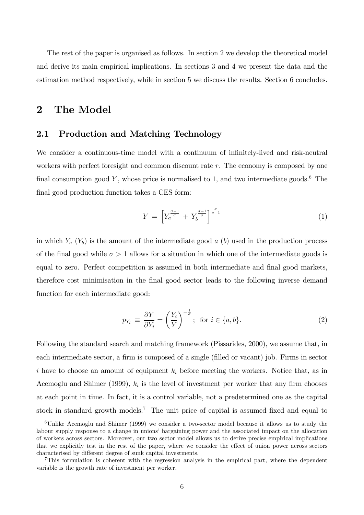The rest of the paper is organised as follows. In section 2 we develop the theoretical model and derive its main empirical implications. In sections 3 and 4 we present the data and the estimation method respectively, while in section 5 we discuss the results. Section 6 concludes.

### 2 The Model

#### 2.1 Production and Matching Technology

We consider a continuous-time model with a continuum of infinitely-lived and risk-neutral workers with perfect foresight and common discount rate r. The economy is composed by one final consumption good Y, whose price is normalised to 1, and two intermediate goods.<sup>6</sup> The final good production function takes a CES form:

$$
Y = \left[ Y_a^{\frac{\sigma - 1}{\sigma}} + Y_b^{\frac{\sigma - 1}{\sigma}} \right]^{\frac{\sigma}{\sigma - 1}} \tag{1}
$$

in which  $Y_a(Y_b)$  is the amount of the intermediate good a  $(b)$  used in the production process of the final good while  $\sigma > 1$  allows for a situation in which one of the intermediate goods is equal to zero. Perfect competition is assumed in both intermediate and final good markets, therefore cost minimisation in the final good sector leads to the following inverse demand function for each intermediate good:

$$
p_{Y_i} \equiv \frac{\partial Y}{\partial Y_i} = \left(\frac{Y_i}{Y}\right)^{-\frac{1}{\sigma}}; \text{ for } i \in \{a, b\}. \tag{2}
$$

Following the standard search and matching framework (Pissarides, 2000), we assume that, in each intermediate sector, a firm is composed of a single (filled or vacant) job. Firms in sector i have to choose an amount of equipment  $k_i$  before meeting the workers. Notice that, as in Acemoglu and Shimer (1999),  $k_i$  is the level of investment per worker that any firm chooses at each point in time. In fact, it is a control variable, not a predetermined one as the capital stock in standard growth models.<sup>7</sup> The unit price of capital is assumed fixed and equal to

<sup>6</sup>Unlike Acemoglu and Shimer (1999) we consider a two-sector model because it allows us to study the labour supply response to a change in unions' bargaining power and the associated impact on the allocation of workers across sectors. Moreover, our two sector model allows us to derive precise empirical implications that we explicitly test in the rest of the paper, where we consider the effect of union power across sectors characterised by different degree of sunk capital investments.

<sup>7</sup>This formulation is coherent with the regression analysis in the empirical part, where the dependent variable is the growth rate of investment per worker.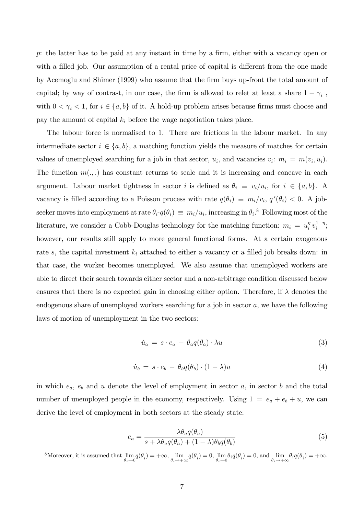p: the latter has to be paid at any instant in time by a firm, either with a vacancy open or with a filled job. Our assumption of a rental price of capital is different from the one made by Acemoglu and Shimer (1999) who assume that the Örm buys up-front the total amount of capital; by way of contrast, in our case, the firm is allowed to relet at least a share  $1 - \gamma_i$ , with  $0 < \gamma_i < 1$ , for  $i \in \{a, b\}$  of it. A hold-up problem arises because firms must choose and pay the amount of capital  $k_i$  before the wage negotiation takes place.

The labour force is normalised to 1. There are frictions in the labour market. In any intermediate sector  $i \in \{a, b\}$ , a matching function yields the measure of matches for certain values of unemployed searching for a job in that sector,  $u_i$ , and vacancies  $v_i$ :  $m_i = m(v_i, u_i)$ . The function  $m(.,.)$  has constant returns to scale and it is increasing and concave in each argument. Labour market tightness in sector *i* is defined as  $\theta_i \equiv v_i/u_i$ , for  $i \in \{a, b\}$ . A vacancy is filled according to a Poisson process with rate  $q(\theta_i) \equiv m_i/v_i, q'(\theta_i) < 0$ . A jobseeker moves into employment at rate  $\theta_i \cdot q(\theta_i) \equiv m_i/u_i$ , increasing in  $\theta_i$ .<sup>8</sup> Following most of the literature, we consider a Cobb-Douglas technology for the matching function:  $m_i = u_i^{\eta}$  $\frac{\eta}{i} v_i^{1-\eta}$ ; however, our results still apply to more general functional forms. At a certain exogenous rate s, the capital investment  $k_i$  attached to either a vacancy or a filled job breaks down: in that case, the worker becomes unemployed. We also assume that unemployed workers are able to direct their search towards either sector and a non-arbitrage condition discussed below ensures that there is no expected gain in choosing either option. Therefore, if  $\lambda$  denotes the endogenous share of unemployed workers searching for a job in sector a, we have the following laws of motion of unemployment in the two sectors:

$$
\dot{u}_a = s \cdot e_a - \theta_a q(\theta_a) \cdot \lambda u \tag{3}
$$

$$
\dot{u}_b = s \cdot e_b - \theta_b q(\theta_b) \cdot (1 - \lambda) u \tag{4}
$$

in which  $e_a$ ,  $e_b$  and u denote the level of employment in sector a, in sector b and the total number of unemployed people in the economy, respectively. Using  $1 = e_a + e_b + u$ , we can derive the level of employment in both sectors at the steady state:

$$
e_a = \frac{\lambda \theta_a q(\theta_a)}{s + \lambda \theta_a q(\theta_a) + (1 - \lambda)\theta_b q(\theta_b)}\tag{5}
$$

<sup>8</sup>Moreover, it is assumed that lim  $\lim_{\theta_i \to 0} q(\theta_i) = +\infty$ ,  $\lim_{\theta_i \to +\infty} q(\theta_i) = 0$ ,  $\lim_{\theta_i \to 0}$  $\lim_{\theta_i \to 0} \theta_i q(\theta_i) = 0$ , and  $\lim_{\theta_i \to +}$  $\lim_{\theta_i \to +\infty} \theta_i q(\theta_i) = +\infty.$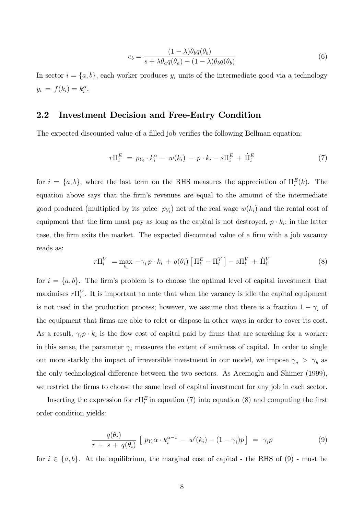$$
e_b = \frac{(1 - \lambda)\theta_b q(\theta_b)}{s + \lambda \theta_a q(\theta_a) + (1 - \lambda)\theta_b q(\theta_b)}
$$
(6)

In sector  $i = \{a, b\}$ , each worker produces  $y_i$  units of the intermediate good via a technology  $y_i = f(k_i) = k_i^{\alpha}$ .

#### 2.2 Investment Decision and Free-Entry Condition

The expected discounted value of a filled job verifies the following Bellman equation:

$$
r\Pi_i^E = p_{Y_i} \cdot k_i^{\alpha} - w(k_i) - p \cdot k_i - s\Pi_i^E + \dot{\Pi}_i^E \tag{7}
$$

for  $i = \{a, b\}$ , where the last term on the RHS measures the appreciation of  $\Pi_i^E(k)$ . The equation above says that the firm's revenues are equal to the amount of the intermediate good produced (multiplied by its price  $p_{Y_i}$ ) net of the real wage  $w(k_i)$  and the rental cost of equipment that the firm must pay as long as the capital is not destroyed,  $p \cdot k_i$ ; in the latter case, the firm exits the market. The expected discounted value of a firm with a job vacancy reads as:

$$
r\Pi_i^V = \max_{k_i} -\gamma_i p \cdot k_i + q(\theta_i) \left[ \Pi_i^E - \Pi_i^V \right] - s\Pi_i^V + \dot{\Pi}_i^V \tag{8}
$$

for  $i = \{a, b\}$ . The firm's problem is to choose the optimal level of capital investment that maximises  $r\Pi_i^V$ . It is important to note that when the vacancy is idle the capital equipment is not used in the production process; however, we assume that there is a fraction  $1 - \gamma_i$  of the equipment that firms are able to relet or dispose in other ways in order to cover its cost. As a result,  $\gamma_i p \cdot k_i$  is the flow cost of capital paid by firms that are searching for a worker: in this sense, the parameter  $\gamma_i$  measures the extent of sunkness of capital. In order to single out more starkly the impact of irreversible investment in our model, we impose  $\gamma_a > \gamma_b$  as the only technological difference between the two sectors. As Acemoglu and Shimer (1999), we restrict the firms to choose the same level of capital investment for any job in each sector.

Inserting the expression for  $r\Pi_i^E$  in equation (7) into equation (8) and computing the first order condition yields:

$$
\frac{q(\theta_i)}{r+s+q(\theta_i)}\left[p_{Y_i}\alpha \cdot k_i^{\alpha-1} - w'(k_i) - (1-\gamma_i)p\right] = \gamma_i p \tag{9}
$$

for  $i \in \{a, b\}$ . At the equilibrium, the marginal cost of capital - the RHS of (9) - must be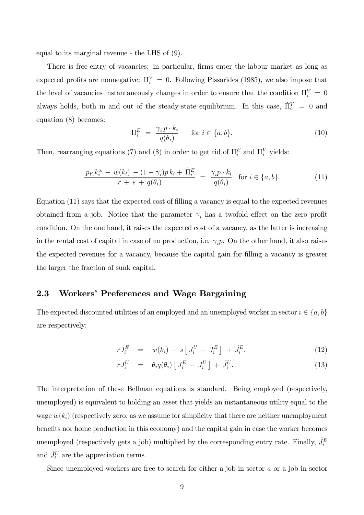equal to its marginal revenue - the LHS of (9).

There is free-entry of vacancies: in particular, firms enter the labour market as long as expected profits are nonnegative:  $\Pi_i^V = 0$ . Following Pissarides (1985), we also impose that the level of vacancies instantaneously changes in order to ensure that the condition  $\Pi_i^V = 0$ always holds, both in and out of the steady-state equilibrium. In this case,  $\dot{\Pi}_i^V = 0$  and equation (8) becomes:

$$
\Pi_i^E = \frac{\gamma_i p \cdot k_i}{q(\theta_i)} \quad \text{for } i \in \{a, b\}.
$$
 (10)

Then, rearranging equations (7) and (8) in order to get rid of  $\Pi_i^E$  and  $\Pi_i^V$  yields:

$$
\frac{p_{Y_i}k_i^{\alpha} - w(k_i) - (1 - \gamma_i)p k_i + \dot{\Pi}_i^E}{r + s + q(\theta_i)} = \frac{\gamma_i p \cdot k_i}{q(\theta_i)} \text{ for } i \in \{a, b\}. \tag{11}
$$

Equation (11) says that the expected cost of filling a vacancy is equal to the expected revenues obtained from a job. Notice that the parameter  $\gamma_i$  has a twofold effect on the zero profit condition. On the one hand, it raises the expected cost of a vacancy, as the latter is increasing in the rental cost of capital in case of no production, i.e.  $\gamma_i p$ . On the other hand, it also raises the expected revenues for a vacancy, because the capital gain for Ölling a vacancy is greater the larger the fraction of sunk capital.

#### 2.3 Workers' Preferences and Wage Bargaining

The expected discounted utilities of an employed and an unemployed worker in sector  $i \in \{a, b\}$ are respectively:

$$
rJ_i^E = w(k_i) + s\left[J_i^U - J_i^E\right] + \dot{J}_i^E,\tag{12}
$$

$$
rJ_i^U = \theta_i q(\theta_i) \left[ J_i^E - J_i^U \right] + \dot{J}_i^U. \tag{13}
$$

The interpretation of these Bellman equations is standard. Being employed (respectively, unemployed) is equivalent to holding an asset that yields an instantaneous utility equal to the wage  $w(k_i)$  (respectively zero, as we assume for simplicity that there are neither unemployment benefits nor home production in this economy) and the capital gain in case the worker becomes unemployed (respectively gets a job) multiplied by the corresponding entry rate. Finally,  $\dot{J}_i^E$ and  $\dot{J}_i^U$  are the appreciation terms.

Since unemployed workers are free to search for either a job in sector a or a job in sector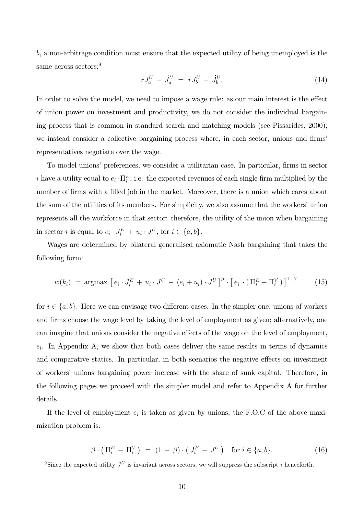b, a non-arbitrage condition must ensure that the expected utility of being unemployed is the same across sectors:<sup>9</sup>

$$
rJ_a^U - \dot{J}_a^U = rJ_b^U - \dot{J}_b^U. \tag{14}
$$

In order to solve the model, we need to impose a wage rule: as our main interest is the effect of union power on investment and productivity, we do not consider the individual bargaining process that is common in standard search and matching models (see Pissarides, 2000); we instead consider a collective bargaining process where, in each sector, unions and firms representatives negotiate over the wage.

To model unions' preferences, we consider a utilitarian case. In particular, firms in sector i have a utility equal to  $e_i \cdot \Pi_i^E$ , i.e. the expected revenues of each single firm multiplied by the number of firms with a filled job in the market. Moreover, there is a union which cares about the sum of the utilities of its members. For simplicity, we also assume that the workers' union represents all the workforce in that sector: therefore, the utility of the union when bargaining in sector *i* is equal to  $e_i \cdot J_i^E + u_i \cdot J^U$ , for  $i \in \{a, b\}$ .

Wages are determined by bilateral generalised axiomatic Nash bargaining that takes the following form:

$$
w(k_i) = \operatorname{argmax} \left[ e_i \cdot J_i^E + u_i \cdot J^U - (e_i + u_i) \cdot J^U \right]^\beta \cdot \left[ e_i \cdot (\Pi_i^E - \Pi_i^V) \right]^{1-\beta} \tag{15}
$$

for  $i \in \{a, b\}$ . Here we can envisage two different cases. In the simpler one, unions of workers and firms choose the wage level by taking the level of employment as given; alternatively, one can imagine that unions consider the negative effects of the wage on the level of employment,  $e_i$ . In Appendix A, we show that both cases deliver the same results in terms of dynamics and comparative statics. In particular, in both scenarios the negative effects on investment of workersí unions bargaining power increase with the share of sunk capital. Therefore, in the following pages we proceed with the simpler model and refer to Appendix A for further details.

If the level of employment  $e_i$  is taken as given by unions, the F.O.C of the above maximization problem is:

$$
\beta \cdot \left( \Pi_i^E - \Pi_i^V \right) = (1 - \beta) \cdot \left( J_i^E - J^U \right) \quad \text{for } i \in \{a, b\}. \tag{16}
$$

<sup>&</sup>lt;sup>9</sup>Since the expected utility  $J^U$  is invariant across sectors, we will suppress the subscript i henceforth.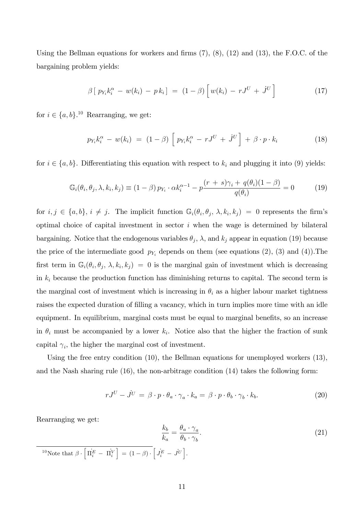Using the Bellman equations for workers and firms  $(7)$ ,  $(8)$ ,  $(12)$  and  $(13)$ , the F.O.C. of the bargaining problem yields:

$$
\beta [p_{Y_i}k_i^{\alpha} - w(k_i) - p k_i] = (1 - \beta) [w(k_i) - rJ^U + J^U]
$$
\n(17)

for  $i \in \{a, b\}.$ <sup>10</sup> Rearranging, we get:

$$
p_{Y_i}k_i^{\alpha} - w(k_i) = (1 - \beta) \left[ p_{Y_i}k_i^{\alpha} - rJ^U + J^U \right] + \beta \cdot p \cdot k_i \qquad (18)
$$

for  $i \in \{a, b\}$ . Differentiating this equation with respect to  $k_i$  and plugging it into (9) yields:

$$
\mathbb{G}_i(\theta_i, \theta_j, \lambda, k_i, k_j) \equiv (1 - \beta) p_{Y_i} \cdot \alpha k_i^{\alpha - 1} - p \frac{(r + s)\gamma_i + q(\theta_i)(1 - \beta)}{q(\theta_i)} = 0 \tag{19}
$$

for  $i, j \in \{a, b\}, i \neq j$ . The implicit function  $\mathbb{G}_i(\theta_i, \theta_j, \lambda, k_i, k_j) = 0$  represents the firm's optimal choice of capital investment in sector  $i$  when the wage is determined by bilateral bargaining. Notice that the endogenous variables  $\theta_j$ ,  $\lambda$ , and  $k_j$  appear in equation (19) because the price of the intermediate good  $p_{Y_i}$  depends on them (see equations (2), (3) and (4)). The first term in  $\mathbb{G}_i(\theta_i, \theta_j, \lambda, k_i, k_j) = 0$  is the marginal gain of investment which is decreasing in  $k_i$  because the production function has diminishing returns to capital. The second term is the marginal cost of investment which is increasing in  $\theta_i$  as a higher labour market tightness raises the expected duration of filling a vacancy, which in turn implies more time with an idle equipment. In equilibrium, marginal costs must be equal to marginal benefits, so an increase in  $\theta_i$  must be accompanied by a lower  $k_i$ . Notice also that the higher the fraction of sunk capital  $\gamma_i$ , the higher the marginal cost of investment.

Using the free entry condition (10), the Bellman equations for unemployed workers (13), and the Nash sharing rule (16), the non-arbitrage condition (14) takes the following form:

$$
rJ^U - J^U = \beta \cdot p \cdot \theta_a \cdot \gamma_a \cdot k_a = \beta \cdot p \cdot \theta_b \cdot \gamma_b \cdot k_b. \tag{20}
$$

Rearranging we get:

$$
\frac{k_b}{k_a} = \frac{\theta_a \cdot \gamma_a}{\theta_b \cdot \gamma_b}.
$$
\n(21)

<sup>10</sup>Note that  $\beta \cdot \left[ \Pi_i^E - \Pi_i^V \right] = (1 - \beta) \cdot \left[ J_i^E - J^U \right]$ .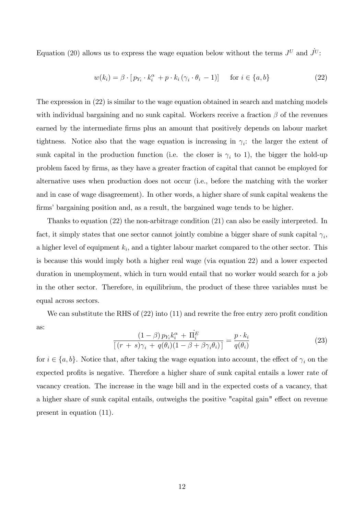Equation (20) allows us to express the wage equation below without the terms  $J^U$  and  $J^U$ :

$$
w(k_i) = \beta \cdot [p_{Y_i} \cdot k_i^{\alpha} + p \cdot k_i (\gamma_i \cdot \theta_i - 1)] \quad \text{for } i \in \{a, b\}
$$
 (22)

The expression in (22) is similar to the wage equation obtained in search and matching models with individual bargaining and no sunk capital. Workers receive a fraction  $\beta$  of the revenues earned by the intermediate firms plus an amount that positively depends on labour market tightness. Notice also that the wage equation is increasing in  $\gamma_i$ : the larger the extent of sunk capital in the production function (i.e. the closer is  $\gamma_i$  to 1), the bigger the hold-up problem faced by firms, as they have a greater fraction of capital that cannot be employed for alternative uses when production does not occur (i.e., before the matching with the worker and in case of wage disagreement). In other words, a higher share of sunk capital weakens the firms' bargaining position and, as a result, the bargained wage tends to be higher.

Thanks to equation (22) the non-arbitrage condition (21) can also be easily interpreted. In fact, it simply states that one sector cannot jointly combine a bigger share of sunk capital  $\gamma_i$ , a higher level of equipment  $k_i$ , and a tighter labour market compared to the other sector. This is because this would imply both a higher real wage (via equation 22) and a lower expected duration in unemployment, which in turn would entail that no worker would search for a job in the other sector. Therefore, in equilibrium, the product of these three variables must be equal across sectors.

We can substitute the RHS of  $(22)$  into  $(11)$  and rewrite the free entry zero profit condition as:

$$
\frac{(1-\beta) p_{Y_i} k_i^{\alpha} + \Pi_i^E}{\left[ (r+s)\gamma_i + q(\theta_i)(1-\beta+\beta\gamma_i\theta_i) \right]} = \frac{p \cdot k_i}{q(\theta_i)}\tag{23}
$$

for  $i \in \{a, b\}$ . Notice that, after taking the wage equation into account, the effect of  $\gamma_i$  on the expected profits is negative. Therefore a higher share of sunk capital entails a lower rate of vacancy creation. The increase in the wage bill and in the expected costs of a vacancy, that a higher share of sunk capital entails, outweighs the positive "capital gain" effect on revenue present in equation (11).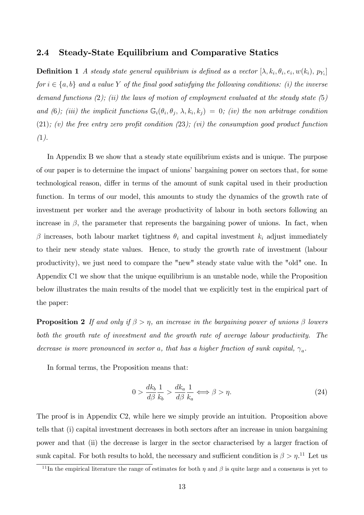#### 2.4 Steady-State Equilibrium and Comparative Statics

**Definition 1** A steady state general equilibrium is defined as a vector  $[\lambda, k_i, \theta_i, e_i, w(k_i), p_{Y_i}]$ for  $i \in \{a, b\}$  and a value Y of the final good satisfying the following conditions: (i) the inverse demand functions  $(2)$ ;  $(ii)$  the laws of motion of employment evaluated at the steady state  $(5)$ and (6); (iii) the implicit functions  $\mathbb{G}_i(\theta_i, \theta_j, \lambda, k_i, k_j) = 0$ ; (iv) the non arbitrage condition  $(21);$  (v) the free entry zero profit condition  $(23);$  (vi) the consumption good product function  $(1).$ 

In Appendix B we show that a steady state equilibrium exists and is unique. The purpose of our paper is to determine the impact of unions' bargaining power on sectors that, for some technological reason, differ in terms of the amount of sunk capital used in their production function. In terms of our model, this amounts to study the dynamics of the growth rate of investment per worker and the average productivity of labour in both sectors following an increase in  $\beta$ , the parameter that represents the bargaining power of unions. In fact, when  $\beta$  increases, both labour market tightness  $\theta_i$  and capital investment  $k_i$  adjust immediately to their new steady state values. Hence, to study the growth rate of investment (labour productivity), we just need to compare the "new" steady state value with the "old" one. In Appendix C1 we show that the unique equilibrium is an unstable node, while the Proposition below illustrates the main results of the model that we explicitly test in the empirical part of the paper:

**Proposition 2** If and only if  $\beta > \eta$ , an increase in the bargaining power of unions  $\beta$  lowers both the growth rate of investment and the growth rate of average labour productivity. The decrease is more pronounced in sector a, that has a higher fraction of sunk capital,  $\gamma_a$ .

In formal terms, the Proposition means that:

$$
0 > \frac{dk_b}{d\beta} \frac{1}{k_b} > \frac{dk_a}{d\beta} \frac{1}{k_a} \Longleftrightarrow \beta > \eta. \tag{24}
$$

The proof is in Appendix C2, while here we simply provide an intuition. Proposition above tells that (i) capital investment decreases in both sectors after an increase in union bargaining power and that (ii) the decrease is larger in the sector characterised by a larger fraction of sunk capital. For both results to hold, the necessary and sufficient condition is  $\beta > \eta$ <sup>11</sup>. Let us

<sup>&</sup>lt;sup>11</sup>In the empirical literature the range of estimates for both  $\eta$  and  $\beta$  is quite large and a consensus is yet to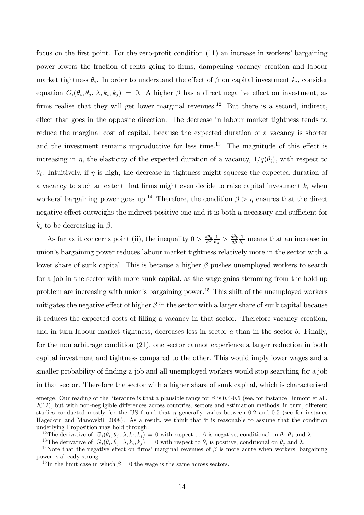focus on the first point. For the zero-profit condition  $(11)$  an increase in workers' bargaining power lowers the fraction of rents going to Örms, dampening vacancy creation and labour market tightness  $\theta_i$ . In order to understand the effect of  $\beta$  on capital investment  $k_i$ , consider equation  $G_i(\theta_i, \theta_j, \lambda, k_i, k_j) = 0$ . A higher  $\beta$  has a direct negative effect on investment, as firms realise that they will get lower marginal revenues.<sup>12</sup> But there is a second, indirect, effect that goes in the opposite direction. The decrease in labour market tightness tends to reduce the marginal cost of capital, because the expected duration of a vacancy is shorter and the investment remains unproductive for less time.<sup>13</sup> The magnitude of this effect is increasing in  $\eta$ , the elasticity of the expected duration of a vacancy,  $1/q(\theta_i)$ , with respect to  $\theta_i$ . Intuitively, if  $\eta$  is high, the decrease in tightness might squeeze the expected duration of a vacancy to such an extent that firms might even decide to raise capital investment  $k_i$  when workers' bargaining power goes up.<sup>14</sup> Therefore, the condition  $\beta > \eta$  ensures that the direct negative effect outweighs the indirect positive one and it is both a necessary and sufficient for  $k_i$  to be decreasing in  $\beta$ .

As far as it concerns point (ii), the inequality  $0 > \frac{d\theta_a}{d\beta_a}$  $d\beta$ 1  $\frac{1}{\theta_a} > \frac{d\theta_b}{d\beta}$  $d\beta$ 1  $\frac{1}{\theta_b}$  means that an increase in unionís bargaining power reduces labour market tightness relatively more in the sector with a lower share of sunk capital. This is because a higher  $\beta$  pushes unemployed workers to search for a job in the sector with more sunk capital, as the wage gains stemming from the hold-up problem are increasing with union's bargaining power.<sup>15</sup> This shift of the unemployed workers mitigates the negative effect of higher  $\beta$  in the sector with a larger share of sunk capital because it reduces the expected costs of filling a vacancy in that sector. Therefore vacancy creation, and in turn labour market tightness, decreases less in sector  $a$  than in the sector  $b$ . Finally, for the non arbitrage condition (21), one sector cannot experience a larger reduction in both capital investment and tightness compared to the other. This would imply lower wages and a smaller probability of finding a job and all unemployed workers would stop searching for a job in that sector. Therefore the sector with a higher share of sunk capital, which is characterised

emerge. Our reading of the literature is that a plausible range for  $\beta$  is 0.4-0.6 (see, for instance Dumont et al., 2012), but with non-negligible differences across countries, sectors and estimation methods; in turn, different studies conducted mostly for the US found that  $\eta$  generally varies between 0.2 and 0.5 (see for instance Hagedorn and Manovskii, 2008). As a result, we think that it is reasonable to assume that the condition underlying Proposition may hold through.

<sup>&</sup>lt;sup>12</sup>The derivative of  $\mathbb{G}_i(\theta_i, \theta_j, \lambda, k_i, k_j) = 0$  with respect to  $\beta$  is negative, conditional on  $\theta_i, \theta_j$  and  $\lambda$ .

<sup>&</sup>lt;sup>13</sup>The derivative of  $\mathbb{G}_i(\theta_i, \theta_j, \lambda, k_i, k_j) = 0$  with respect to  $\theta_i$  is positive, conditional on  $\theta_j$  and  $\lambda$ .

<sup>&</sup>lt;sup>14</sup>Note that the negative effect on firms' marginal revenues of  $\beta$  is more acute when workers' bargaining power is already strong.

<sup>&</sup>lt;sup>15</sup>In the limit case in which  $\beta = 0$  the wage is the same across sectors.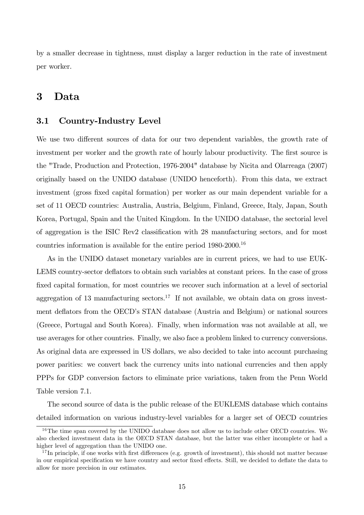by a smaller decrease in tightness, must display a larger reduction in the rate of investment per worker.

### 3 Data

#### 3.1 Country-Industry Level

We use two different sources of data for our two dependent variables, the growth rate of investment per worker and the growth rate of hourly labour productivity. The first source is the "Trade, Production and Protection, 1976-2004" database by Nicita and Olarreaga (2007) originally based on the UNIDO database (UNIDO henceforth). From this data, we extract investment (gross fixed capital formation) per worker as our main dependent variable for a set of 11 OECD countries: Australia, Austria, Belgium, Finland, Greece, Italy, Japan, South Korea, Portugal, Spain and the United Kingdom. In the UNIDO database, the sectorial level of aggregation is the ISIC Rev2 classification with 28 manufacturing sectors, and for most countries information is available for the entire period 1980-2000.<sup>16</sup>

As in the UNIDO dataset monetary variables are in current prices, we had to use EUK-LEMS country-sector deflators to obtain such variables at constant prices. In the case of gross fixed capital formation, for most countries we recover such information at a level of sectorial aggregation of 13 manufacturing sectors.<sup>17</sup> If not available, we obtain data on gross investment deflators from the OECD's STAN database (Austria and Belgium) or national sources (Greece, Portugal and South Korea). Finally, when information was not available at all, we use averages for other countries. Finally, we also face a problem linked to currency conversions. As original data are expressed in US dollars, we also decided to take into account purchasing power parities: we convert back the currency units into national currencies and then apply PPPs for GDP conversion factors to eliminate price variations, taken from the Penn World Table version 7.1.

The second source of data is the public release of the EUKLEMS database which contains detailed information on various industry-level variables for a larger set of OECD countries

<sup>&</sup>lt;sup>16</sup>The time span covered by the UNIDO database does not allow us to include other OECD countries. We also checked investment data in the OECD STAN database, but the latter was either incomplete or had a higher level of aggregation than the UNIDO one.

<sup>&</sup>lt;sup>17</sup>In principle, if one works with first differences (e.g. growth of investment), this should not matter because in our empirical specification we have country and sector fixed effects. Still, we decided to deflate the data to allow for more precision in our estimates.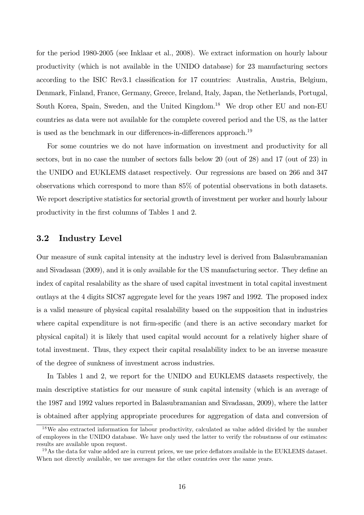for the period 1980-2005 (see Inklaar et al., 2008). We extract information on hourly labour productivity (which is not available in the UNIDO database) for 23 manufacturing sectors according to the ISIC Rev3.1 classification for 17 countries: Australia, Austria, Belgium, Denmark, Finland, France, Germany, Greece, Ireland, Italy, Japan, the Netherlands, Portugal, South Korea, Spain, Sweden, and the United Kingdom.<sup>18</sup> We drop other EU and non-EU countries as data were not available for the complete covered period and the US, as the latter is used as the benchmark in our differences-in-differences approach.<sup>19</sup>

For some countries we do not have information on investment and productivity for all sectors, but in no case the number of sectors falls below 20 (out of 28) and 17 (out of 23) in the UNIDO and EUKLEMS dataset respectively. Our regressions are based on 266 and 347 observations which correspond to more than 85% of potential observations in both datasets. We report descriptive statistics for sectorial growth of investment per worker and hourly labour productivity in the Örst columns of Tables 1 and 2.

### 3.2 Industry Level

Our measure of sunk capital intensity at the industry level is derived from Balasubramanian and Sivadasan (2009), and it is only available for the US manufacturing sector. They define an index of capital resalability as the share of used capital investment in total capital investment outlays at the 4 digits SIC87 aggregate level for the years 1987 and 1992. The proposed index is a valid measure of physical capital resalability based on the supposition that in industries where capital expenditure is not firm-specific (and there is an active secondary market for physical capital) it is likely that used capital would account for a relatively higher share of total investment. Thus, they expect their capital resalability index to be an inverse measure of the degree of sunkness of investment across industries.

In Tables 1 and 2, we report for the UNIDO and EUKLEMS datasets respectively, the main descriptive statistics for our measure of sunk capital intensity (which is an average of the 1987 and 1992 values reported in Balasubramanian and Sivadasan, 2009), where the latter is obtained after applying appropriate procedures for aggregation of data and conversion of

<sup>&</sup>lt;sup>18</sup>We also extracted information for labour productivity, calculated as value added divided by the number of employees in the UNIDO database. We have only used the latter to verify the robustness of our estimates: results are available upon request.

 $19\text{ As the data for value added are in current prices, we use price deflators available in the EUKLEMS dataset.}$ When not directly available, we use averages for the other countries over the same years.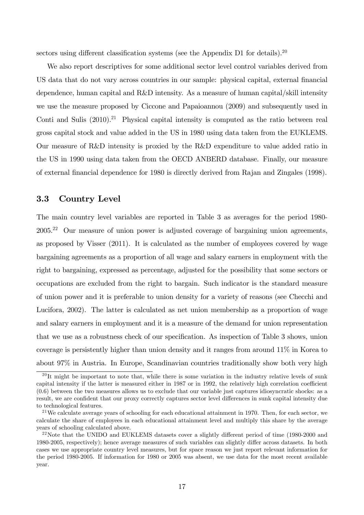sectors using different classification systems (see the Appendix D1 for details).<sup>20</sup>

We also report descriptives for some additional sector level control variables derived from US data that do not vary across countries in our sample: physical capital, external financial dependence, human capital and R&D intensity. As a measure of human capital/skill intensity we use the measure proposed by Ciccone and Papaioannou (2009) and subsequently used in Conti and Sulis  $(2010).^{21}$  Physical capital intensity is computed as the ratio between real gross capital stock and value added in the US in 1980 using data taken from the EUKLEMS. Our measure of R&D intensity is proxied by the R&D expenditure to value added ratio in the US in 1990 using data taken from the OECD ANBERD database. Finally, our measure of external Önancial dependence for 1980 is directly derived from Rajan and Zingales (1998).

### 3.3 Country Level

The main country level variables are reported in Table 3 as averages for the period 1980- 2005.<sup>22</sup> Our measure of union power is adjusted coverage of bargaining union agreements, as proposed by Visser (2011). It is calculated as the number of employees covered by wage bargaining agreements as a proportion of all wage and salary earners in employment with the right to bargaining, expressed as percentage, adjusted for the possibility that some sectors or occupations are excluded from the right to bargain. Such indicator is the standard measure of union power and it is preferable to union density for a variety of reasons (see Checchi and Lucifora, 2002). The latter is calculated as net union membership as a proportion of wage and salary earners in employment and it is a measure of the demand for union representation that we use as a robustness check of our specification. As inspection of Table 3 shows, union coverage is persistently higher than union density and it ranges from around 11% in Korea to about 97% in Austria. In Europe, Scandinavian countries traditionally show both very high

 $^{20}$ It might be important to note that, while there is some variation in the industry relative levels of sunk capital intensity if the latter is measured either in 1987 or in 1992, the relatively high correlation coefficient (0.6) between the two measures allows us to exclude that our variable just captures idiosyncratic shocks: as a result, we are confident that our proxy correctly captures sector level differences in sunk capital intensity due to technological features.

<sup>&</sup>lt;sup>21</sup>We calculate average years of schooling for each educational attainment in 1970. Then, for each sector, we calculate the share of employees in each educational attainment level and multiply this share by the average years of schooling calculated above.

 $^{22}$ Note that the UNIDO and EUKLEMS datasets cover a slightly different period of time (1980-2000 and 1980-2005, respectively); hence average measures of such variables can slightly differ across datasets. In both cases we use appropriate country level measures, but for space reason we just report relevant information for the period 1980-2005. If information for 1980 or 2005 was absent, we use data for the most recent available year.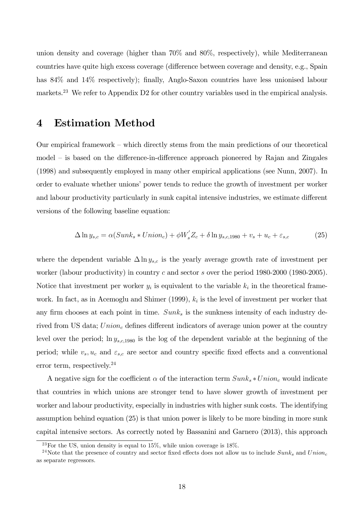union density and coverage (higher than 70% and 80%, respectively), while Mediterranean countries have quite high excess coverage (difference between coverage and density, e.g., Spain has 84% and 14% respectively); finally, Anglo-Saxon countries have less unionised labour markets.<sup>23</sup> We refer to Appendix D2 for other country variables used in the empirical analysis.

### 4 Estimation Method

Our empirical framework  $-$  which directly stems from the main predictions of our theoretical model – is based on the difference-in-difference approach pioneered by Rajan and Zingales (1998) and subsequently employed in many other empirical applications (see Nunn, 2007). In order to evaluate whether unions' power tends to reduce the growth of investment per worker and labour productivity particularly in sunk capital intensive industries, we estimate different versions of the following baseline equation:

$$
\Delta \ln y_{s,c} = \alpha (Sunk_s * Union_c) + \phi W'_s Z_c + \delta \ln y_{s,c,1980} + v_s + u_c + \varepsilon_{s,c} \tag{25}
$$

where the dependent variable  $\Delta \ln y_{s,c}$  is the yearly average growth rate of investment per worker (labour productivity) in country c and sector s over the period  $1980-2000$  (1980-2005). Notice that investment per worker  $y_i$  is equivalent to the variable  $k_i$  in the theoretical framework. In fact, as in Acemoglu and Shimer  $(1999)$ ,  $k_i$  is the level of investment per worker that any firm chooses at each point in time.  $Sunk<sub>s</sub>$  is the sunkness intensity of each industry derived from US data;  $Union_c$  defines different indicators of average union power at the country level over the period;  $\ln y_{s,c,1980}$  is the log of the dependent variable at the beginning of the period; while  $v_s, u_c$  and  $\varepsilon_{s,c}$  are sector and country specific fixed effects and a conventional error term, respectively.<sup>24</sup>

A negative sign for the coefficient  $\alpha$  of the interaction term  $Sunk_s * Union_c$  would indicate that countries in which unions are stronger tend to have slower growth of investment per worker and labour productivity, especially in industries with higher sunk costs. The identifying assumption behind equation (25) is that union power is likely to be more binding in more sunk capital intensive sectors. As correctly noted by Bassanini and Garnero (2013), this approach

<sup>&</sup>lt;sup>23</sup>For the US, union density is equal to  $15\%$ , while union coverage is  $18\%$ .

<sup>&</sup>lt;sup>24</sup>Note that the presence of country and sector fixed effects does not allow us to include  $Sunk<sub>s</sub>$  and  $Union<sub>c</sub>$ as separate regressors.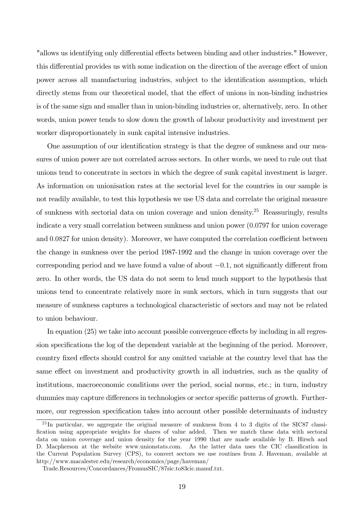"allows us identifying only differential effects between binding and other industries." However, this differential provides us with some indication on the direction of the average effect of union power across all manufacturing industries, subject to the identification assumption, which directly stems from our theoretical model, that the effect of unions in non-binding industries is of the same sign and smaller than in union-binding industries or, alternatively, zero. In other words, union power tends to slow down the growth of labour productivity and investment per worker disproportionately in sunk capital intensive industries.

One assumption of our identification strategy is that the degree of sunkness and our measures of union power are not correlated across sectors. In other words, we need to rule out that unions tend to concentrate in sectors in which the degree of sunk capital investment is larger. As information on unionisation rates at the sectorial level for the countries in our sample is not readily available, to test this hypothesis we use US data and correlate the original measure of sunkness with sectorial data on union coverage and union density.<sup>25</sup> Reassuringly, results indicate a very small correlation between sunkness and union power (0:0797 for union coverage and  $0.0827$  for union density). Moreover, we have computed the correlation coefficient between the change in sunkness over the period 1987-1992 and the change in union coverage over the corresponding period and we have found a value of about  $-0.1$ , not significantly different from zero. In other words, the US data do not seem to lend much support to the hypothesis that unions tend to concentrate relatively more in sunk sectors, which in turn suggests that our measure of sunkness captures a technological characteristic of sectors and may not be related to union behaviour.

In equation  $(25)$  we take into account possible convergence effects by including in all regression specifications the log of the dependent variable at the beginning of the period. Moreover, country fixed effects should control for any omitted variable at the country level that has the same effect on investment and productivity growth in all industries, such as the quality of institutions, macroeconomic conditions over the period, social norms, etc.; in turn, industry dummies may capture differences in technologies or sector specific patterns of growth. Furthermore, our regression specification takes into account other possible determinants of industry

 $^{25}$ In particular, we aggregate the original measure of sunkness from 4 to 3 digits of the SIC87 classification using appropriate weights for shares of value added. Then we match these data with sectoral data on union coverage and union density for the year 1990 that are made available by B. Hirsch and D. Macpherson at the website www.unionstats.com. As the latter data uses the CIC classification in the Current Population Survey (CPS), to convert sectors we use routines from J. Haveman, available at http://www.macalester.edu/research/economics/page/haveman/

Trade.Resources/Concordances/FromusSIC/87sic.to83cic.manuf.txt.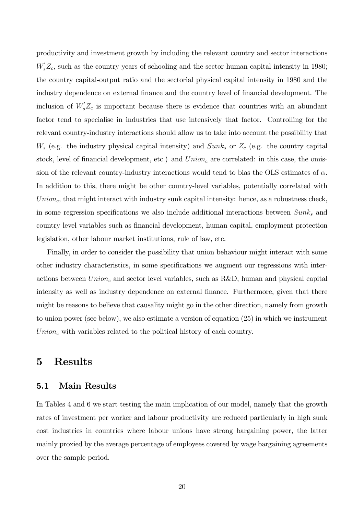productivity and investment growth by including the relevant country and sector interactions  $W_s'Z_c$ , such as the country years of schooling and the sector human capital intensity in 1980; the country capital-output ratio and the sectorial physical capital intensity in 1980 and the industry dependence on external finance and the country level of financial development. The inclusion of  $W_s Z_c$  is important because there is evidence that countries with an abundant factor tend to specialise in industries that use intensively that factor. Controlling for the relevant country-industry interactions should allow us to take into account the possibility that  $W_s$  (e.g. the industry physical capital intensity) and  $Sunk_s$  or  $Z_c$  (e.g. the country capital stock, level of financial development, etc.) and  $Union<sub>c</sub>$  are correlated: in this case, the omission of the relevant country-industry interactions would tend to bias the OLS estimates of  $\alpha$ . In addition to this, there might be other country-level variables, potentially correlated with  $Union<sub>c</sub>$ , that might interact with industry sunk capital intensity: hence, as a robustness check, in some regression specifications we also include additional interactions between  $Sunk_s$  and country level variables such as Önancial development, human capital, employment protection legislation, other labour market institutions, rule of law, etc.

Finally, in order to consider the possibility that union behaviour might interact with some other industry characteristics, in some specifications we augment our regressions with interactions between  $Union_c$  and sector level variables, such as R&D, human and physical capital intensity as well as industry dependence on external finance. Furthermore, given that there might be reasons to believe that causality might go in the other direction, namely from growth to union power (see below), we also estimate a version of equation (25) in which we instrument  $Union<sub>c</sub>$  with variables related to the political history of each country.

## 5 Results

#### 5.1 Main Results

In Tables 4 and 6 we start testing the main implication of our model, namely that the growth rates of investment per worker and labour productivity are reduced particularly in high sunk cost industries in countries where labour unions have strong bargaining power, the latter mainly proxied by the average percentage of employees covered by wage bargaining agreements over the sample period.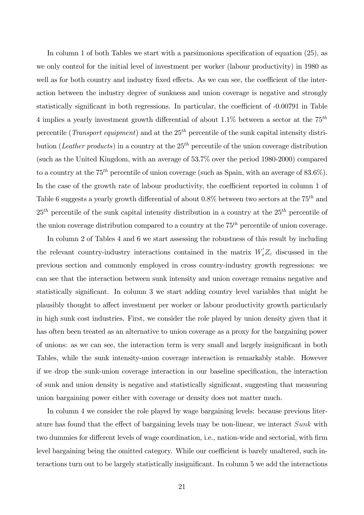In column 1 of both Tables we start with a parsimonious specification of equation  $(25)$ , as we only control for the initial level of investment per worker (labour productivity) in 1980 as well as for both country and industry fixed effects. As we can see, the coefficient of the interaction between the industry degree of sunkness and union coverage is negative and strongly statistically significant in both regressions. In particular, the coefficient of  $-0.00791$  in Table 4 implies a yearly investment growth differential of about 1.1% between a sector at the  $75<sup>th</sup>$ percentile (*Transport equipment*) and at the  $25<sup>th</sup>$  percentile of the sunk capital intensity distribution (Leather products) in a country at the  $25<sup>th</sup>$  percentile of the union coverage distribution (such as the United Kingdom, with an average of 53.7% over the period 1980-2000) compared to a country at the  $75^{th}$  percentile of union coverage (such as Spain, with an average of 83.6%). In the case of the growth rate of labour productivity, the coefficient reported in column 1 of Table 6 suggests a yearly growth differential of about  $0.8\%$  between two sectors at the  $75^{th}$  and  $25<sup>th</sup>$  percentile of the sunk capital intensity distribution in a country at the  $25<sup>th</sup>$  percentile of the union coverage distribution compared to a country at the  $75<sup>th</sup>$  percentile of union coverage.

In column 2 of Tables 4 and 6 we start assessing the robustness of this result by including the relevant country-industry interactions contained in the matrix  $W_s Z_c$  discussed in the previous section and commonly employed in cross country-industry growth regressions: we can see that the interaction between sunk intensity and union coverage remains negative and statistically significant. In column 3 we start adding country level variables that might be plausibly thought to affect investment per worker or labour productivity growth particularly in high sunk cost industries. First, we consider the role played by union density given that it has often been treated as an alternative to union coverage as a proxy for the bargaining power of unions: as we can see, the interaction term is very small and largely insignificant in both Tables, while the sunk intensity-union coverage interaction is remarkably stable. However if we drop the sunk-union coverage interaction in our baseline specification, the interaction of sunk and union density is negative and statistically significant, suggesting that measuring union bargaining power either with coverage or density does not matter much.

In column 4 we consider the role played by wage bargaining levels: because previous literature has found that the effect of bargaining levels may be non-linear, we interact  $Sunk$  with two dummies for different levels of wage coordination, i.e., nation-wide and sectorial, with firm level bargaining being the omitted category. While our coefficient is barely unaltered, such interactions turn out to be largely statistically insignificant. In column 5 we add the interactions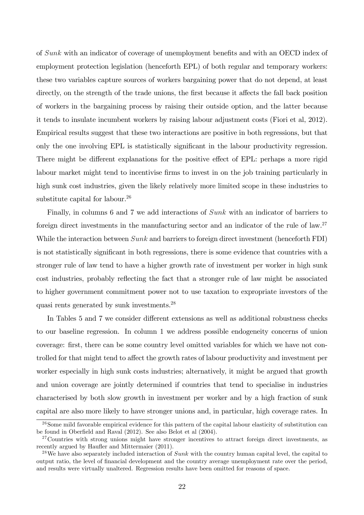of Sunk with an indicator of coverage of unemployment benefits and with an OECD index of employment protection legislation (henceforth EPL) of both regular and temporary workers: these two variables capture sources of workers bargaining power that do not depend, at least directly, on the strength of the trade unions, the first because it affects the fall back position of workers in the bargaining process by raising their outside option, and the latter because it tends to insulate incumbent workers by raising labour adjustment costs (Fiori et al, 2012). Empirical results suggest that these two interactions are positive in both regressions, but that only the one involving EPL is statistically significant in the labour productivity regression. There might be different explanations for the positive effect of EPL: perhaps a more rigid labour market might tend to incentivise firms to invest in on the job training particularly in high sunk cost industries, given the likely relatively more limited scope in these industries to substitute capital for labour.<sup>26</sup>

Finally, in columns 6 and 7 we add interactions of Sunk with an indicator of barriers to foreign direct investments in the manufacturing sector and an indicator of the rule of law.<sup>27</sup> While the interaction between  $Sunk$  and barriers to foreign direct investment (henceforth FDI) is not statistically significant in both regressions, there is some evidence that countries with a stronger rule of law tend to have a higher growth rate of investment per worker in high sunk cost industries, probably reflecting the fact that a stronger rule of law might be associated to higher government commitment power not to use taxation to expropriate investors of the quasi rents generated by sunk investments.<sup>28</sup>

In Tables 5 and 7 we consider different extensions as well as additional robustness checks to our baseline regression. In column 1 we address possible endogeneity concerns of union coverage: Örst, there can be some country level omitted variables for which we have not controlled for that might tend to affect the growth rates of labour productivity and investment per worker especially in high sunk costs industries; alternatively, it might be argued that growth and union coverage are jointly determined if countries that tend to specialise in industries characterised by both slow growth in investment per worker and by a high fraction of sunk capital are also more likely to have stronger unions and, in particular, high coverage rates. In

<sup>&</sup>lt;sup>26</sup>Some mild favorable empirical evidence for this pattern of the capital labour elasticity of substitution can be found in Oberfield and Raval (2012). See also Belot et al (2004).

<sup>&</sup>lt;sup>27</sup>Countries with strong unions might have stronger incentives to attract foreign direct investments, as recently argued by Haufler and Mittermaier (2011).

<sup>&</sup>lt;sup>28</sup>We have also separately included interaction of  $Sunk$  with the country human capital level, the capital to output ratio, the level of financial development and the country average unemployment rate over the period, and results were virtually unaltered. Regression results have been omitted for reasons of space.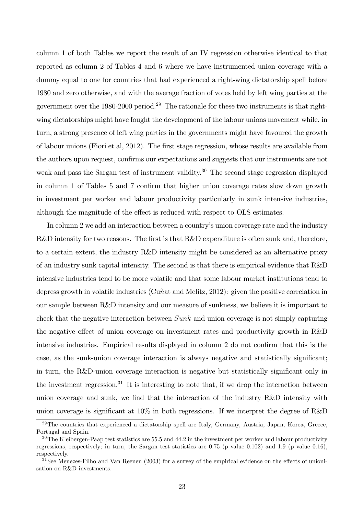column 1 of both Tables we report the result of an IV regression otherwise identical to that reported as column 2 of Tables 4 and 6 where we have instrumented union coverage with a dummy equal to one for countries that had experienced a right-wing dictatorship spell before 1980 and zero otherwise, and with the average fraction of votes held by left wing parties at the government over the 1980-2000 period.<sup>29</sup> The rationale for these two instruments is that rightwing dictatorships might have fought the development of the labour unions movement while, in turn, a strong presence of left wing parties in the governments might have favoured the growth of labour unions (Fiori et al, 2012). The first stage regression, whose results are available from the authors upon request, confirms our expectations and suggests that our instruments are not weak and pass the Sargan test of instrument validity.<sup>30</sup> The second stage regression displayed in column 1 of Tables 5 and 7 confirm that higher union coverage rates slow down growth in investment per worker and labour productivity particularly in sunk intensive industries, although the magnitude of the effect is reduced with respect to OLS estimates.

In column 2 we add an interaction between a country's union coverage rate and the industry R&D intensity for two reasons. The first is that R&D expenditure is often sunk and, therefore, to a certain extent, the industry R&D intensity might be considered as an alternative proxy of an industry sunk capital intensity. The second is that there is empirical evidence that R&D intensive industries tend to be more volatile and that some labour market institutions tend to depress growth in volatile industries (Cunat and Melitz, 2012): given the positive correlation in our sample between R&D intensity and our measure of sunkness, we believe it is important to check that the negative interaction between Sunk and union coverage is not simply capturing the negative effect of union coverage on investment rates and productivity growth in R&D intensive industries. Empirical results displayed in column 2 do not confirm that this is the case, as the sunk-union coverage interaction is always negative and statistically significant; in turn, the R&D-union coverage interaction is negative but statistically significant only in the investment regression.<sup>31</sup> It is interesting to note that, if we drop the interaction between union coverage and sunk, we find that the interaction of the industry R&D intensity with union coverage is significant at  $10\%$  in both regressions. If we interpret the degree of R&D

 $29$ The countries that experienced a dictatorship spell are Italy, Germany, Austria, Japan, Korea, Greece, Portugal and Spain.

 $30$ The Kleibergen-Paap test statistics are 55.5 and 44.2 in the investment per worker and labour productivity regressions, respectively; in turn, the Sargan test statistics are 0.75 (p value 0.102) and 1.9 (p value 0.16), respectively.

 $31$ See Menezes-Filho and Van Reenen (2003) for a survey of the empirical evidence on the effects of unionisation on R&D investments.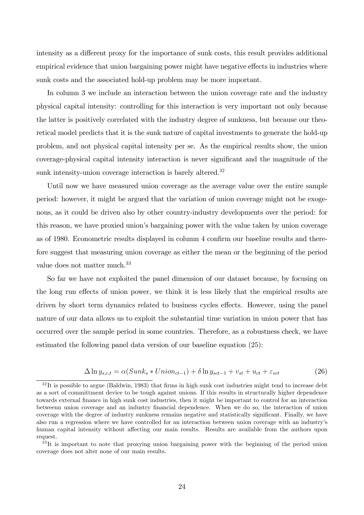intensity as a different proxy for the importance of sunk costs, this result provides additional empirical evidence that union bargaining power might have negative effects in industries where sunk costs and the associated hold-up problem may be more important.

In column 3 we include an interaction between the union coverage rate and the industry physical capital intensity: controlling for this interaction is very important not only because the latter is positively correlated with the industry degree of sunkness, but because our theoretical model predicts that it is the sunk nature of capital investments to generate the hold-up problem, and not physical capital intensity per se. As the empirical results show, the union coverage-physical capital intensity interaction is never significant and the magnitude of the sunk intensity-union coverage interaction is barely altered. $32$ 

Until now we have measured union coverage as the average value over the entire sample period: however, it might be argued that the variation of union coverage might not be exogenous, as it could be driven also by other country-industry developments over the period: for this reason, we have proxied union's bargaining power with the value taken by union coverage as of 1980. Econometric results displayed in column 4 confirm our baseline results and therefore suggest that measuring union coverage as either the mean or the beginning of the period value does not matter much.<sup>33</sup>

So far we have not exploited the panel dimension of our dataset because, by focusing on the long run effects of union power, we think it is less likely that the empirical results are driven by short term dynamics related to business cycles effects. However, using the panel nature of our data allows us to exploit the substantial time variation in union power that has occurred over the sample period in some countries. Therefore, as a robustness check, we have estimated the following panel data version of our baseline equation (25):

$$
\Delta \ln y_{s,c,t} = \alpha(Sunk_s * Union_{ct-1}) + \delta \ln y_{sct-1} + v_{st} + u_{ct} + \varepsilon_{sct} \tag{26}
$$

 $32$ It is possible to argue (Baldwin, 1983) that firms in high sunk cost industries might tend to increase debt as a sort of committment device to be tough against unions. If this results in structurally higher dependence towards external finance in high sunk cost industries, then it might be important to control for an interaction betweenn union coverage and an industry financial dependence. When we do so, the interaction of union coverage with the degree of industry sunkness remains negative and statistically significant. Finally, we have also run a regression where we have controlled for an interaction between union coverage with an industry's human capital intensity without affecting our main results. Results are available from the authors upon request.

<sup>&</sup>lt;sup>33</sup>It is important to note that proxying union bargaining power with the beginning of the period union coverage does not alter none of our main results.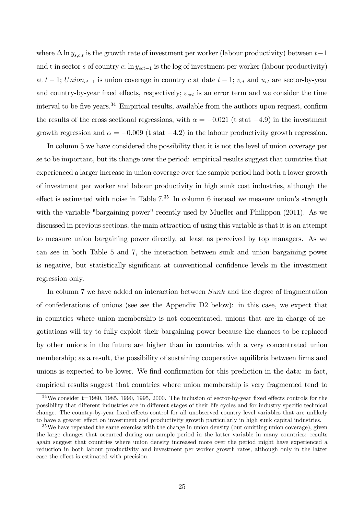where  $\Delta \ln y_{s,c,t}$  is the growth rate of investment per worker (labour productivity) between  $t-1$ and t in sector s of country  $c$ ; ln  $y_{sct-1}$  is the log of investment per worker (labour productivity) at  $t - 1$ ; Union<sub>ct-1</sub> is union coverage in country c at date  $t - 1$ ;  $v_{st}$  and  $u_{ct}$  are sector-by-year and country-by-year fixed effects, respectively;  $\varepsilon_{sct}$  is an error term and we consider the time interval to be five years.<sup>34</sup> Empirical results, available from the authors upon request, confirm the results of the cross sectional regressions, with  $\alpha = -0.021$  (t stat  $-4.9$ ) in the investment growth regression and  $\alpha = -0.009$  (t stat  $-4.2$ ) in the labour productivity growth regression.

In column 5 we have considered the possibility that it is not the level of union coverage per se to be important, but its change over the period: empirical results suggest that countries that experienced a larger increase in union coverage over the sample period had both a lower growth of investment per worker and labour productivity in high sunk cost industries, although the effect is estimated with noise in Table  $7<sup>35</sup>$  In column 6 instead we measure union's strength with the variable "bargaining power" recently used by Mueller and Philippon (2011). As we discussed in previous sections, the main attraction of using this variable is that it is an attempt to measure union bargaining power directly, at least as perceived by top managers. As we can see in both Table 5 and 7, the interaction between sunk and union bargaining power is negative, but statistically significant at conventional confidence levels in the investment regression only.

In column 7 we have added an interaction between Sunk and the degree of fragmentation of confederations of unions (see see the Appendix D2 below): in this case, we expect that in countries where union membership is not concentrated, unions that are in charge of negotiations will try to fully exploit their bargaining power because the chances to be replaced by other unions in the future are higher than in countries with a very concentrated union membership; as a result, the possibility of sustaining cooperative equilibria between firms and unions is expected to be lower. We find confirmation for this prediction in the data: in fact, empirical results suggest that countries where union membership is very fragmented tend to

 $34\text{We consider } t=1980, 1985, 1990, 1995, 2000.$  The inclusion of sector-by-year fixed effects controls for the possibility that different industries are in different stages of their life cycles and for industry specific technical change. The country-by-year fixed effects control for all unobserved country level variables that are unlikely to have a greater effect on investment and productivity growth particularly in high sunk capital industries.

 $35$ We have repeated the same exercise with the change in union density (but omitting union coverage), given the large changes that occurred during our sample period in the latter variable in many countries: results again suggest that countries where union density increased more over the period might have experienced a reduction in both labour productivity and investment per worker growth rates, although only in the latter case the effect is estimated with precision.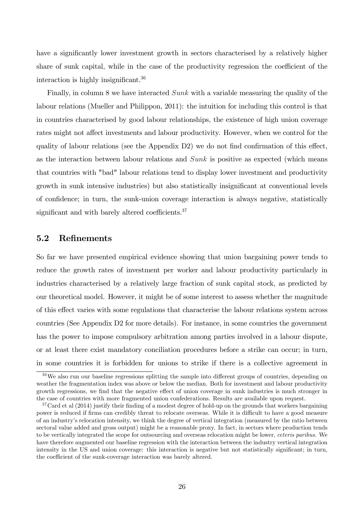have a significantly lower investment growth in sectors characterised by a relatively higher share of sunk capital, while in the case of the productivity regression the coefficient of the interaction is highly insignificant.<sup>36</sup>

Finally, in column 8 we have interacted Sunk with a variable measuring the quality of the labour relations (Mueller and Philippon, 2011): the intuition for including this control is that in countries characterised by good labour relationships, the existence of high union coverage rates might not affect investments and labour productivity. However, when we control for the quality of labour relations (see the Appendix  $D2$ ) we do not find confirmation of this effect, as the interaction between labour relations and Sunk is positive as expected (which means that countries with "bad" labour relations tend to display lower investment and productivity growth in sunk intensive industries) but also statistically insignificant at conventional levels of confidence; in turn, the sunk-union coverage interaction is always negative, statistically significant and with barely altered coefficients. $37$ 

### 5.2 ReÖnements

So far we have presented empirical evidence showing that union bargaining power tends to reduce the growth rates of investment per worker and labour productivity particularly in industries characterised by a relatively large fraction of sunk capital stock, as predicted by our theoretical model. However, it might be of some interest to assess whether the magnitude of this effect varies with some regulations that characterise the labour relations system across countries (See Appendix D2 for more details). For instance, in some countries the government has the power to impose compulsory arbitration among parties involved in a labour dispute, or at least there exist mandatory conciliation procedures before a strike can occur; in turn, in some countries it is forbidden for unions to strike if there is a collective agreement in

 $36\text{We also run our baseline regressions splitting the sample into different groups of countries, depending on.}$ weather the fragmentation index was above or below the median. Both for investment and labour productivity growth regressions, we find that the negative effect of union coverage in sunk industries is much stronger in the case of countries with more fragmented union confederations. Results are available upon request.

<sup>&</sup>lt;sup>37</sup>Card et al (2014) justify their finding of a modest degree of hold-up on the grounds that workers bargaining power is reduced if firms can credibly threat to relocate overseas. While it is difficult to have a good measure of an industryís relocation intensity, we think the degree of vertical integration (measured by the ratio between sectoral value added and gross output) might be a reasonable proxy. In fact, in sectors where production tends to be vertically integrated the scope for outsourcing and overseas relocation might be lower, ceteris paribus. We have therefore augmented our baseline regression with the interaction between the industry vertical integration intensity in the US and union coverage: this interaction is negative but not statistically significant; in turn, the coefficient of the sunk-coverage interaction was barely altered.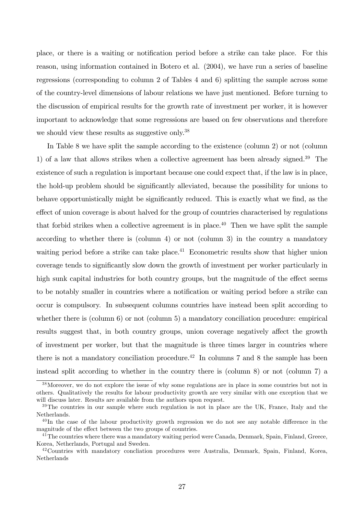place, or there is a waiting or notification period before a strike can take place. For this reason, using information contained in Botero et al. (2004), we have run a series of baseline regressions (corresponding to column 2 of Tables 4 and 6) splitting the sample across some of the country-level dimensions of labour relations we have just mentioned. Before turning to the discussion of empirical results for the growth rate of investment per worker, it is however important to acknowledge that some regressions are based on few observations and therefore we should view these results as suggestive only.<sup>38</sup>

In Table 8 we have split the sample according to the existence (column 2) or not (column 1) of a law that allows strikes when a collective agreement has been already signed.<sup>39</sup> The existence of such a regulation is important because one could expect that, if the law is in place, the hold-up problem should be significantly alleviated, because the possibility for unions to behave opportunistically might be significantly reduced. This is exactly what we find, as the effect of union coverage is about halved for the group of countries characterised by regulations that forbid strikes when a collective agreement is in place.<sup>40</sup> Then we have split the sample according to whether there is (column 4) or not (column 3) in the country a mandatory waiting period before a strike can take place.<sup>41</sup> Econometric results show that higher union coverage tends to significantly slow down the growth of investment per worker particularly in high sunk capital industries for both country groups, but the magnitude of the effect seems to be notably smaller in countries where a notification or waiting period before a strike can occur is compulsory. In subsequent columns countries have instead been split according to whether there is (column 6) or not (column 5) a mandatory conciliation procedure: empirical results suggest that, in both country groups, union coverage negatively affect the growth of investment per worker, but that the magnitude is three times larger in countries where there is not a mandatory conciliation procedure.<sup>42</sup> In columns 7 and 8 the sample has been instead split according to whether in the country there is (column 8) or not (column 7) a

<sup>&</sup>lt;sup>38</sup>Moreover, we do not explore the issue of why some regulations are in place in some countries but not in others. Qualitatively the results for labour productivity growth are very similar with one exception that we will discuss later. Results are available from the authors upon request.

 $39$ The countries in our sample where such regulation is not in place are the UK, France, Italy and the Netherlands.

 $^{40}$ In the case of the labour productivity growth regression we do not see any notable difference in the magnitude of the effect between the two groups of countries.

<sup>&</sup>lt;sup>41</sup>The countries where there was a mandatory waiting period were Canada, Denmark, Spain, Finland, Greece, Korea, Netherlands, Portugal and Sweden.

 $42$ Countries with mandatory concliation procedures were Australia, Denmark, Spain, Finland, Korea, Netherlands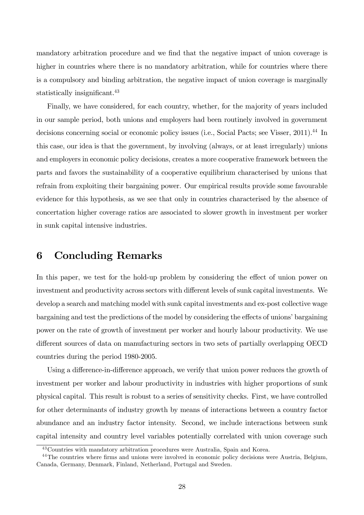mandatory arbitration procedure and we find that the negative impact of union coverage is higher in countries where there is no mandatory arbitration, while for countries where there is a compulsory and binding arbitration, the negative impact of union coverage is marginally statistically insignificant.<sup>43</sup>

Finally, we have considered, for each country, whether, for the majority of years included in our sample period, both unions and employers had been routinely involved in government decisions concerning social or economic policy issues (i.e., Social Pacts; see Visser, 2011).<sup>44</sup> In this case, our idea is that the government, by involving (always, or at least irregularly) unions and employers in economic policy decisions, creates a more cooperative framework between the parts and favors the sustainability of a cooperative equilibrium characterised by unions that refrain from exploiting their bargaining power. Our empirical results provide some favourable evidence for this hypothesis, as we see that only in countries characterised by the absence of concertation higher coverage ratios are associated to slower growth in investment per worker in sunk capital intensive industries.

## 6 Concluding Remarks

In this paper, we test for the hold-up problem by considering the effect of union power on investment and productivity across sectors with different levels of sunk capital investments. We develop a search and matching model with sunk capital investments and ex-post collective wage bargaining and test the predictions of the model by considering the effects of unions' bargaining power on the rate of growth of investment per worker and hourly labour productivity. We use different sources of data on manufacturing sectors in two sets of partially overlapping OECD countries during the period 1980-2005.

Using a difference-in-difference approach, we verify that union power reduces the growth of investment per worker and labour productivity in industries with higher proportions of sunk physical capital. This result is robust to a series of sensitivity checks. First, we have controlled for other determinants of industry growth by means of interactions between a country factor abundance and an industry factor intensity. Second, we include interactions between sunk capital intensity and country level variables potentially correlated with union coverage such

<sup>43</sup>Countries with mandatory arbitration procedures were Australia, Spain and Korea.

<sup>&</sup>lt;sup>44</sup>The countries where firms and unions were involved in economic policy decisions were Austria, Belgium, Canada, Germany, Denmark, Finland, Netherland, Portugal and Sweden.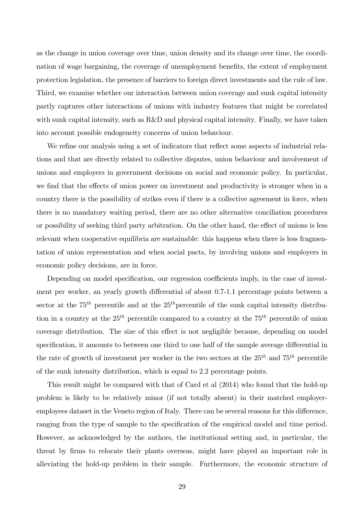as the change in union coverage over time, union density and its change over time, the coordination of wage bargaining, the coverage of unemployment benefits, the extent of employment protection legislation, the presence of barriers to foreign direct investments and the rule of law. Third, we examine whether our interaction between union coverage and sunk capital intensity partly captures other interactions of unions with industry features that might be correlated with sunk capital intensity, such as R&D and physical capital intensity. Finally, we have taken into account possible endogeneity concerns of union behaviour.

We refine our analysis using a set of indicators that reflect some aspects of industrial relations and that are directly related to collective disputes, union behaviour and involvement of unions and employers in government decisions on social and economic policy. In particular, we find that the effects of union power on investment and productivity is stronger when in a country there is the possibility of strikes even if there is a collective agreement in force, when there is no mandatory waiting period, there are no other alternative conciliation procedures or possibility of seeking third party arbitration. On the other hand, the effect of unions is less relevant when cooperative equilibria are sustainable: this happens when there is less fragmentation of union representation and when social pacts, by involving unions and employers in economic policy decisions, are in force.

Depending on model specification, our regression coefficients imply, in the case of investment per worker, an yearly growth differential of about 0.7-1.1 percentage points between a sector at the  $75<sup>th</sup>$  percentile and at the  $25<sup>th</sup>$  percentile of the sunk capital intensity distribution in a country at the  $25<sup>th</sup>$  percentile compared to a country at the  $75<sup>th</sup>$  percentile of union coverage distribution. The size of this effect is not negligible because, depending on model specification, it amounts to between one third to one half of the sample average differential in the rate of growth of investment per worker in the two sectors at the  $25^{th}$  and  $75^{th}$  percentile of the sunk intensity distribution, which is equal to 2.2 percentage points.

This result might be compared with that of Card et al (2014) who found that the hold-up problem is likely to be relatively minor (if not totally absent) in their matched employeremployees dataset in the Veneto region of Italy. There can be several reasons for this difference, ranging from the type of sample to the specification of the empirical model and time period. However, as acknowledged by the authors, the institutional setting and, in particular, the threat by firms to relocate their plants overseas, might have played an important role in alleviating the hold-up problem in their sample. Furthermore, the economic structure of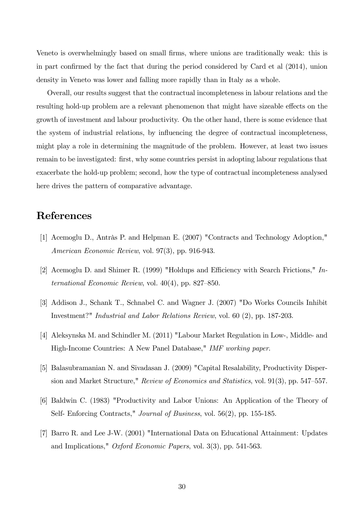Veneto is overwhelmingly based on small firms, where unions are traditionally weak: this is in part confirmed by the fact that during the period considered by Card et al  $(2014)$ , union density in Veneto was lower and falling more rapidly than in Italy as a whole.

Overall, our results suggest that the contractual incompleteness in labour relations and the resulting hold-up problem are a relevant phenomenon that might have sizeable effects on the growth of investment and labour productivity. On the other hand, there is some evidence that the system of industrial relations, by influencing the degree of contractual incompleteness, might play a role in determining the magnitude of the problem. However, at least two issues remain to be investigated: Örst, why some countries persist in adopting labour regulations that exacerbate the hold-up problem; second, how the type of contractual incompleteness analysed here drives the pattern of comparative advantage.

## References

- [1] Acemoglu D., Antràs P. and Helpman E. (2007) "Contracts and Technology Adoption," American Economic Review, vol. 97(3), pp. 916-943.
- [2] Acemoglu D. and Shimer R. (1999) "Holdups and Efficiency with Search Frictions,"  $In$ ternational Economic Review, vol.  $40(4)$ , pp. 827–850.
- [3] Addison J., Schank T., Schnabel C. and Wagner J. (2007) "Do Works Councils Inhibit Investment?" Industrial and Labor Relations Review, vol. 60 (2), pp. 187-203.
- [4] Aleksynska M. and Schindler M. (2011) "Labour Market Regulation in Low-, Middle- and High-Income Countries: A New Panel Database," IMF working paper.
- [5] Balasubramanian N. and Sivadasan J. (2009) "Capital Resalability, Productivity Dispersion and Market Structure," Review of Economics and Statistics, vol. 91(3), pp. 547–557.
- [6] Baldwin C. (1983) "Productivity and Labor Unions: An Application of the Theory of Self- Enforcing Contracts," Journal of Business, vol. 56(2), pp. 155-185.
- [7] Barro R. and Lee J-W. (2001) "International Data on Educational Attainment: Updates and Implications," Oxford Economic Papers, vol. 3(3), pp. 541-563.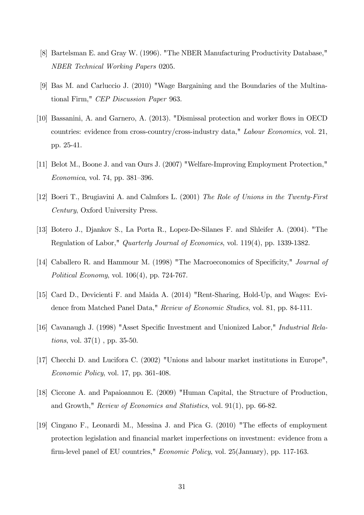- [8] Bartelsman E. and Gray W. (1996). "The NBER Manufacturing Productivity Database," NBER Technical Working Papers 0205.
- [9] Bas M. and Carluccio J. (2010) "Wage Bargaining and the Boundaries of the Multinational Firm," CEP Discussion Paper 963.
- [10] Bassanini, A. and Garnero, A. (2013). "Dismissal protection and worker flows in OECD countries: evidence from cross-country/cross-industry data," Labour Economics, vol. 21, pp. 25-41.
- [11] Belot M., Boone J. and van Ours J. (2007) "Welfare-Improving Employment Protection,"  $Economica$ , vol. 74, pp. 381–396.
- [12] Boeri T., Brugiavini A. and Calmfors L. (2001) The Role of Unions in the Twenty-First Century, Oxford University Press.
- [13] Botero J., Djankov S., La Porta R., Lopez-De-Silanes F. and Shleifer A. (2004). "The Regulation of Labor," Quarterly Journal of Economics, vol. 119(4), pp. 1339-1382.
- [14] Caballero R. and Hammour M. (1998) "The Macroeconomics of Specificity," *Journal of* Political Economy, vol. 106(4), pp. 724-767.
- [15] Card D., Devicienti F. and Maida A. (2014) "Rent-Sharing, Hold-Up, and Wages: Evidence from Matched Panel Data," Review of Economic Studies, vol. 81, pp. 84-111.
- [16] Cavanaugh J. (1998) "Asset Specific Investment and Unionized Labor," *Industrial Relations*, vol.  $37(1)$ , pp.  $35-50$ .
- [17] Checchi D. and Lucifora C. (2002) "Unions and labour market institutions in Europe", Economic Policy, vol. 17, pp. 361-408.
- [18] Ciccone A. and Papaioannou E. (2009) "Human Capital, the Structure of Production, and Growth," Review of Economics and Statistics, vol. 91(1), pp. 66-82.
- [19] Cingano F., Leonardi M., Messina J. and Pica G.  $(2010)$  "The effects of employment protection legislation and financial market imperfections on investment: evidence from a firm-level panel of EU countries," *Economic Policy*, vol. 25(January), pp. 117-163.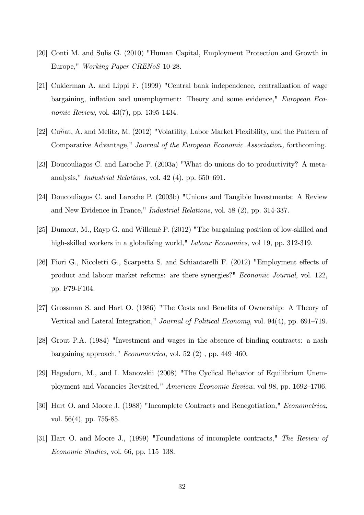- [20] Conti M. and Sulis G. (2010) "Human Capital, Employment Protection and Growth in Europe," Working Paper CRENoS 10-28.
- [21] Cukierman A. and Lippi F. (1999) "Central bank independence, centralization of wage bargaining, inflation and unemployment: Theory and some evidence," European Economic Review, vol. 43(7), pp. 1395-1434.
- [22] Cunat, A. and Melitz, M. (2012) "Volatility, Labor Market Flexibility, and the Pattern of Comparative Advantage," Journal of the European Economic Association, forthcoming.
- [23] Doucouliagos C. and Laroche P. (2003a) "What do unions do to productivity? A metaanalysis," *Industrial Relations*, vol. 42 (4), pp.  $650-691$ .
- [24] Doucouliagos C. and Laroche P. (2003b) "Unions and Tangible Investments: A Review and New Evidence in France," Industrial Relations, vol. 58 (2), pp. 314-337.
- [25] Dumont, M., Rayp G. and Willemè P. (2012) "The bargaining position of low-skilled and high-skilled workers in a globalising world," *Labour Economics*, vol 19, pp. 312-319.
- [26] Fiori G., Nicoletti G., Scarpetta S. and Schiantarelli F. (2012) "Employment effects of product and labour market reforms: are there synergies?" Economic Journal, vol. 122, pp. F79-F104.
- [27] Grossman S. and Hart O. (1986) "The Costs and Benefits of Ownership: A Theory of Vertical and Lateral Integration," Journal of Political Economy, vol. 94(4), pp. 691–719.
- [28] Grout P.A. (1984) "Investment and wages in the absence of binding contracts: a nash bargaining approach," *Econometrica*, vol. 52 $(2)$ , pp. 449–460.
- [29] Hagedorn, M., and I. Manovskii (2008) "The Cyclical Behavior of Equilibrium Unemployment and Vacancies Revisited," American Economic Review, vol 98, pp. 1692–1706.
- [30] Hart O. and Moore J. (1988) "Incomplete Contracts and Renegotiation," Econometrica, vol. 56(4), pp. 755-85.
- [31] Hart O. and Moore J., (1999) "Foundations of incomplete contracts," The Review of  $Economic Studies, vol. 66, pp. 115–138.$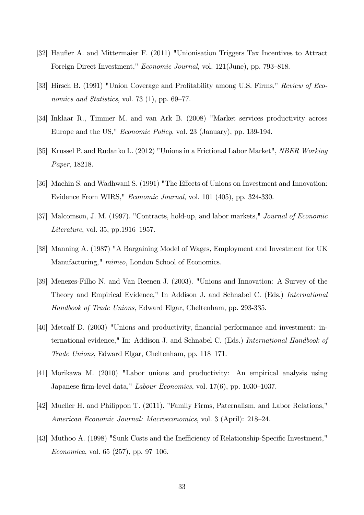- [32] Haufter A. and Mittermaier F. (2011) "Unionisation Triggers Tax Incentives to Attract Foreign Direct Investment," *Economic Journal*, vol. 121(June), pp. 793–818.
- [33] Hirsch B. (1991) "Union Coverage and Profitability among U.S. Firms," Review of Economics and Statistics, vol. 73 (1), pp.  $69-77$ .
- [34] Inklaar R., Timmer M. and van Ark B. (2008) "Market services productivity across Europe and the US," Economic Policy, vol. 23 (January), pp. 139-194.
- [35] Krussel P. and Rudanko L. (2012) "Unions in a Frictional Labor Market", NBER Working Paper, 18218.
- [36] Machin S. and Wadhwani S. (1991) "The Effects of Unions on Investment and Innovation: Evidence From WIRS," Economic Journal, vol. 101 (405), pp. 324-330.
- [37] Malcomson, J. M. (1997). "Contracts, hold-up, and labor markets," Journal of Economic  $Literature$ , vol. 35, pp.1916–1957.
- [38] Manning A. (1987) "A Bargaining Model of Wages, Employment and Investment for UK Manufacturing," *mimeo*, London School of Economics.
- [39] Menezes-Filho N. and Van Reenen J. (2003). "Unions and Innovation: A Survey of the Theory and Empirical Evidence," In Addison J. and Schnabel C. (Eds.) International Handbook of Trade Unions, Edward Elgar, Cheltenham, pp. 293-335.
- [40] Metcalf D. (2003) "Unions and productivity, financial performance and investment: international evidence," In: Addison J. and Schnabel C. (Eds.) International Handbook of Trade Unions, Edward Elgar, Cheltenham, pp. 118–171.
- [41] Morikawa M. (2010) "Labor unions and productivity: An empirical analysis using Japanese firm-level data," Labour Economics, vol.  $17(6)$ , pp.  $1030-1037$ .
- [42] Mueller H. and Philippon T. (2011). "Family Firms, Paternalism, and Labor Relations," American Economic Journal: Macroeconomics, vol. 3 (April): 218–24.
- [43] Muthoo A. (1998) "Sunk Costs and the Inefficiency of Relationship-Specific Investment," Economica, vol. 65 (257), pp. 97–106.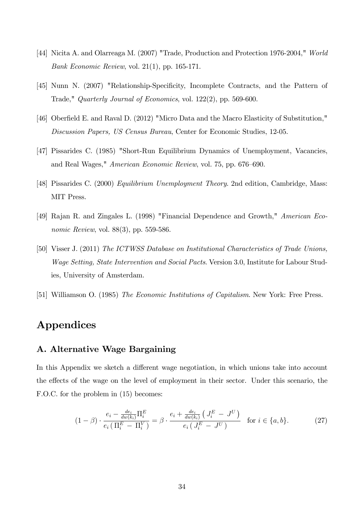- [44] Nicita A. and Olarreaga M. (2007) "Trade, Production and Protection 1976-2004," World Bank Economic Review, vol. 21(1), pp. 165-171.
- [45] Nunn N. (2007) "Relationship-Specificity, Incomplete Contracts, and the Pattern of Trade," Quarterly Journal of Economics, vol. 122(2), pp. 569-600.
- [46] Oberfield E. and Raval D. (2012) "Micro Data and the Macro Elasticity of Substitution," Discussion Papers, US Census Bureau, Center for Economic Studies, 12-05.
- [47] Pissarides C. (1985) "Short-Run Equilibrium Dynamics of Unemployment, Vacancies, and Real Wages,"  $American Economic Review$ , vol. 75, pp. 676–690.
- [48] Pissarides C. (2000) Equilibrium Unemployment Theory. 2nd edition, Cambridge, Mass: MIT Press.
- [49] Rajan R. and Zingales L. (1998) "Financial Dependence and Growth," American Economic Review, vol. 88(3), pp. 559-586.
- [50] Visser J. (2011) The ICTWSS Database on Institutional Characteristics of Trade Unions, Wage Setting, State Intervention and Social Pacts. Version 3.0, Institute for Labour Studies, University of Amsterdam.
- [51] Williamson O. (1985) The Economic Institutions of Capitalism. New York: Free Press.

## Appendices

### A. Alternative Wage Bargaining

In this Appendix we sketch a different wage negotiation, in which unions take into account the effects of the wage on the level of employment in their sector. Under this scenario, the F.O.C. for the problem in (15) becomes:

$$
(1 - \beta) \cdot \frac{e_i - \frac{de_i}{dw(k_i)} \Pi_i^E}{e_i (\Pi_i^E - \Pi_i^V)} = \beta \cdot \frac{e_i + \frac{de_i}{dw(k_i)} (J_i^E - J^U)}{e_i (J_i^E - J^U)} \quad \text{for } i \in \{a, b\}.
$$
 (27)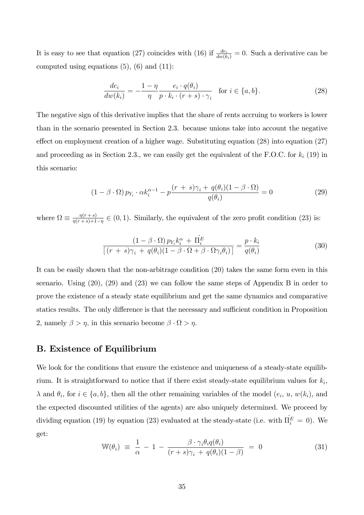It is easy to see that equation (27) coincides with (16) if  $\frac{de_i}{dw(k_i)} = 0$ . Such a derivative can be computed using equations  $(5)$ ,  $(6)$  and  $(11)$ :

$$
\frac{de_i}{dw(k_i)} = -\frac{1-\eta}{\eta} \frac{e_i \cdot q(\theta_i)}{p \cdot k_i \cdot (r+s) \cdot \gamma_i} \quad \text{for } i \in \{a, b\}.
$$
\n(28)

The negative sign of this derivative implies that the share of rents accruing to workers is lower than in the scenario presented in Section 2.3. because unions take into account the negative effect on employment creation of a higher wage. Substituting equation  $(28)$  into equation  $(27)$ and proceeding as in Section 2.3., we can easily get the equivalent of the F.O.C. for  $k_i$  (19) in this scenario:

$$
(1 - \beta \cdot \Omega) p_{Y_i} \cdot \alpha k_i^{\alpha - 1} - p \frac{(r + s)\gamma_i + q(\theta_i)(1 - \beta \cdot \Omega)}{q(\theta_i)} = 0
$$
\n(29)

where  $\Omega \equiv \frac{\eta(r+s)}{\eta(r+s)+1}$  $\frac{\eta(r+s)}{\eta(r+s)+1-\eta} \in (0,1)$ . Similarly, the equivalent of the zero profit condition (23) is:

$$
\frac{(1 - \beta \cdot \Omega) p_{Y_i} k_i^{\alpha} + \Pi_i^E}{[(r + s)\gamma_i + q(\theta_i)(1 - \beta \cdot \Omega + \beta \cdot \Omega \gamma_i \theta_i)]} = \frac{p \cdot k_i}{q(\theta_i)}
$$
(30)

It can be easily shown that the non-arbitrage condition (20) takes the same form even in this scenario. Using (20), (29) and (23) we can follow the same steps of Appendix B in order to prove the existence of a steady state equilibrium and get the same dynamics and comparative statics results. The only difference is that the necessary and sufficient condition in Proposition 2, namely  $\beta > \eta$ , in this scenario become  $\beta \cdot \Omega > \eta$ .

#### B. Existence of Equilibrium

We look for the conditions that ensure the existence and uniqueness of a steady-state equilibrium. It is straightforward to notice that if there exist steady-state equilibrium values for  $k_i$ ,  $\lambda$  and  $\theta_i$ , for  $i \in \{a, b\}$ , then all the other remaining variables of the model  $(e_i, u, w(k_i))$ , and the expected discounted utilities of the agents) are also uniquely determined. We proceed by dividing equation (19) by equation (23) evaluated at the steady-state (i.e. with  $\overline{\Pi}_i^E = 0$ ). We get:

$$
\mathbb{W}(\theta_i) \equiv \frac{1}{\alpha} - 1 - \frac{\beta \cdot \gamma_i \theta_i q(\theta_i)}{(r+s)\gamma_i + q(\theta_i)(1-\beta)} = 0 \tag{31}
$$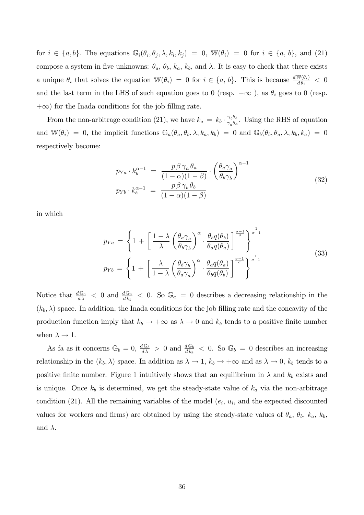for  $i \in \{a, b\}$ . The equations  $\mathbb{G}_i(\theta_i, \theta_j, \lambda, k_i, k_j) = 0$ ,  $\mathbb{W}(\theta_i) = 0$  for  $i \in \{a, b\}$ , and (21) compose a system in five unknowns:  $\theta_a$ ,  $\theta_b$ ,  $k_a$ ,  $k_b$ , and  $\lambda$ . It is easy to check that there exists a unique  $\theta_i$  that solves the equation  $\mathbb{W}(\theta_i) = 0$  for  $i \in \{a, b\}$ . This is because  $\frac{d\mathbb{W}(\theta_i)}{d\theta_i} < 0$ and the last term in the LHS of such equation goes to 0 (resp.  $-\infty$  ), as  $\theta_i$  goes to 0 (resp.  $+\infty$ ) for the Inada conditions for the job filling rate.

From the non-arbitrage condition (21), we have  $k_a = k_b \cdot \frac{\gamma_b \theta_b}{\gamma_a \theta_a}$  $\frac{\gamma_b b_b}{\gamma_a \theta_a}$ . Using the RHS of equation and  $\mathbb{W}(\theta_i) = 0$ , the implicit functions  $\mathbb{G}_a(\theta_a, \theta_b, \lambda, k_a, k_b) = 0$  and  $\mathbb{G}_b(\theta_b, \theta_a, \lambda, k_b, k_a) = 0$ respectively become:

$$
p_{Ya} \cdot k_b^{\alpha - 1} = \frac{p \beta \gamma_a \theta_a}{(1 - \alpha)(1 - \beta)} \cdot \left(\frac{\theta_a \gamma_a}{\theta_b \gamma_b}\right)^{\alpha - 1}
$$
  
\n
$$
p_{Yb} \cdot k_b^{\alpha - 1} = \frac{p \beta \gamma_b \theta_b}{(1 - \alpha)(1 - \beta)}
$$
\n(32)

in which

$$
p_{Ya} = \left\{ 1 + \left[ \frac{1 - \lambda}{\lambda} \left( \frac{\theta_a \gamma_a}{\theta_b \gamma_b} \right)^{\alpha} \cdot \frac{\theta_b q(\theta_b)}{\theta_a q(\theta_a)} \right]^{\frac{\sigma - 1}{\sigma}} \right\}^{\frac{1}{\sigma - 1}}
$$
  
\n
$$
p_{Yb} = \left\{ 1 + \left[ \frac{\lambda}{1 - \lambda} \left( \frac{\theta_b \gamma_b}{\theta_a \gamma_a} \right)^{\alpha} \cdot \frac{\theta_a q(\theta_a)}{\theta_b q(\theta_b)} \right]^{\frac{\sigma - 1}{\sigma}} \right\}^{\frac{1}{\sigma - 1}}
$$
\n(33)

Notice that  $\frac{dG_a}{d\lambda} < 0$  and  $\frac{dG_a}{dk_b} < 0$ . So  $G_a = 0$  describes a decreasing relationship in the  $(k_b, \lambda)$  space. In addition, the Inada conditions for the job filling rate and the concavity of the production function imply that  $k_b \to +\infty$  as  $\lambda \to 0$  and  $k_b$  tends to a positive finite number when  $\lambda \to 1$ .

As fa as it concerns  $\mathbb{G}_b = 0$ ,  $\frac{d\mathbb{G}_b}{d\lambda} > 0$  and  $\frac{d\mathbb{G}_b}{d k_b} < 0$ . So  $\mathbb{G}_b = 0$  describes an increasing relationship in the  $(k_b, \lambda)$  space. In addition as  $\lambda \to 1$ ,  $k_b \to +\infty$  and as  $\lambda \to 0$ ,  $k_b$  tends to a positive finite number. Figure 1 intuitively shows that an equilibrium in  $\lambda$  and  $k_b$  exists and is unique. Once  $k_b$  is determined, we get the steady-state value of  $k_a$  via the non-arbitrage condition (21). All the remaining variables of the model  $(e_i, u_i)$ , and the expected discounted values for workers and firms) are obtained by using the steady-state values of  $\theta_a$ ,  $\theta_b$ ,  $k_a$ ,  $k_b$ , and  $\lambda$ .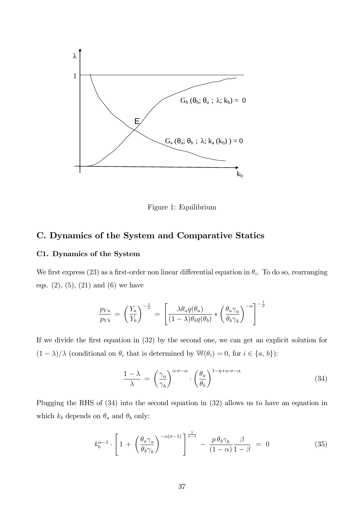

Figure 1: Equilibrium

#### C. Dynamics of the System and Comparative Statics

#### C1. Dynamics of the System

We first express (23) as a first-order non linear differential equation in  $\theta_i$ . To do so, rearranging eqs.  $(2)$ ,  $(5)$ ,  $(21)$  and  $(6)$  we have

$$
\frac{p_{Ya}}{p_{Yb}} = \left(\frac{Y_a}{Y_b}\right)^{-\frac{1}{\sigma}} = \left[\frac{\lambda \theta_a q(\theta_a)}{(1-\lambda)\theta_b q(\theta_b)} * \left(\frac{\theta_a \gamma_a}{\theta_b \gamma_b}\right)^{-\alpha}\right]^{-\frac{1}{\sigma}}
$$

If we divide the first equation in (32) by the second one, we can get an explicit solution for  $(1 - \lambda)/\lambda$  (conditional on  $\theta_i$  that is determined by  $\mathbb{W}(\theta_i) = 0$ , for  $i \in \{a, b\}$ ):

$$
\frac{1-\lambda}{\lambda} = \left(\frac{\gamma_a}{\gamma_b}\right)^{\alpha \cdot \sigma - \alpha} \cdot \left(\frac{\theta_a}{\theta_b}\right)^{1-\eta+\alpha \cdot \sigma - \alpha} \tag{34}
$$

Plugging the RHS of (34) into the second equation in (32) allows us to have an equation in which  $k_b$  depends on  $\theta_a$  and  $\theta_b$  only:

$$
k_b^{\alpha-1} \cdot \left[1 + \left(\frac{\theta_a \gamma_a}{\theta_b \gamma_b}\right)^{-\alpha(\sigma-1)}\right]^{\frac{1}{\sigma-1}} - \frac{p \theta_b \gamma_b}{(1-\alpha)} \frac{\beta}{1-\beta} = 0 \tag{35}
$$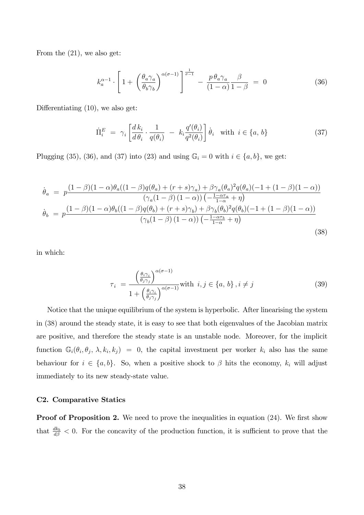From the (21), we also get:

$$
k_a^{\alpha-1} \cdot \left[1 + \left(\frac{\theta_a \gamma_a}{\theta_b \gamma_b}\right)^{\alpha(\sigma-1)}\right]^{\frac{1}{\sigma-1}} - \frac{p \theta_a \gamma_a}{(1-\alpha)} \frac{\beta}{1-\beta} = 0 \tag{36}
$$

Differentiating  $(10)$ , we also get:

$$
\dot{\Pi}_i^E = \gamma_i \left[ \frac{d k_i}{d \theta_i} \cdot \frac{1}{q(\theta_i)} - k_i \frac{q'(\theta_i)}{q^2(\theta_i)} \right] \dot{\theta}_i \quad \text{with } i \in \{a, b\}
$$
\n(37)

Plugging (35), (36), and (37) into (23) and using  $\mathbb{G}_i = 0$  with  $i \in \{a, b\}$ , we get:

$$
\dot{\theta}_{a} = p \frac{(1-\beta)(1-\alpha)\theta_{a}((1-\beta)q(\theta_{a}) + (r+s)\gamma_{a}) + \beta\gamma_{a}(\theta_{a})^{2}q(\theta_{a})(-1+(1-\beta)(1-\alpha))}{(\gamma_{a}(1-\beta)(1-\alpha))\left(-\frac{1-\alpha\tau_{a}}{1-\alpha}+\eta\right)} \n\dot{\theta}_{b} = p \frac{(1-\beta)(1-\alpha)\theta_{b}((1-\beta)q(\theta_{b}) + (r+s)\gamma_{b}) + \beta\gamma_{b}(\theta_{b})^{2}q(\theta_{b})(-1+(1-\beta)(1-\alpha))}{(\gamma_{b}(1-\beta)(1-\alpha))\left(-\frac{1-\alpha\tau_{b}}{1-\alpha}+\eta\right)}
$$
\n(38)

in which:

$$
\tau_{i} = \frac{\left(\frac{\theta_{i}\gamma_{i}}{\theta_{j}\gamma_{j}}\right)^{\alpha(\sigma-1)}}{1 + \left(\frac{\theta_{i}\gamma_{i}}{\theta_{j}\gamma_{j}}\right)^{\alpha(\sigma-1)}} \text{with } i, j \in \{a, b\}, i \neq j \tag{39}
$$

Notice that the unique equilibrium of the system is hyperbolic. After linearising the system in (38) around the steady state, it is easy to see that both eigenvalues of the Jacobian matrix are positive, and therefore the steady state is an unstable node. Moreover, for the implicit function  $\mathbb{G}_i(\theta_i, \theta_j, \lambda, k_i, k_j) = 0$ , the capital investment per worker  $k_i$  also has the same behaviour for  $i \in \{a, b\}$ . So, when a positive shock to  $\beta$  hits the economy,  $k_i$  will adjust immediately to its new steady-state value.

#### C2. Comparative Statics

**Proof of Proposition 2.** We need to prove the inequalities in equation  $(24)$ . We first show that  $\frac{dk_b}{d\beta} < 0$ . For the concavity of the production function, it is sufficient to prove that the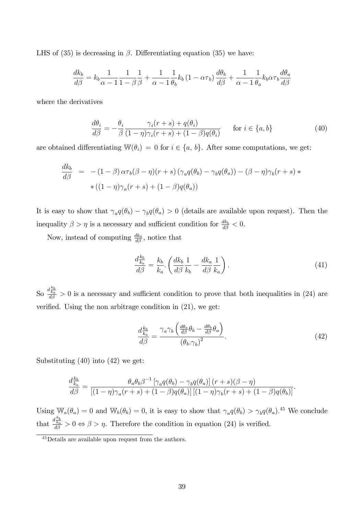LHS of  $(35)$  is decreasing in  $\beta$ . Differentiating equation  $(35)$  we have:

$$
\frac{dk_b}{d\beta} = k_b \frac{1}{\alpha - 1} \frac{1}{1 - \beta} \frac{1}{\beta} + \frac{1}{\alpha - 1} \frac{1}{\theta_b} k_b (1 - \alpha \tau_b) \frac{d\theta_b}{d\beta} + \frac{1}{\alpha - 1} \frac{1}{\theta_a} k_b \alpha \tau_b \frac{d\theta_a}{d\beta}
$$

where the derivatives

$$
\frac{d\theta_i}{d\beta} = -\frac{\theta_i}{\beta} \frac{\gamma_i(r+s) + q(\theta_i)}{(1-\eta)\gamma_i(r+s) + (1-\beta)q(\theta_i)} \quad \text{for } i \in \{a, b\}
$$
\n(40)

are obtained differentiating  $\mathbb{W}(\theta_i) = 0$  for  $i \in \{a, b\}$ . After some computations, we get:

$$
\frac{dk_b}{d\beta} = -(1-\beta)\alpha\tau_b(\beta-\eta)(r+s)\left(\gamma_a q(\theta_b) - \gamma_b q(\theta_a)\right) - (\beta-\eta)\gamma_b(r+s) *\ast((1-\eta)\gamma_a(r+s) + (1-\beta)q(\theta_a))
$$

It is easy to show that  $\gamma_a q(\theta_b) - \gamma_b q(\theta_a) > 0$  (details are available upon request). Then the inequality  $\beta > \eta$  is a necessary and sufficient condition for  $\frac{dk_b}{d\beta} < 0$ .

Now, instead of computing  $\frac{dk_a}{d\beta}$ , notice that

$$
\frac{d\frac{k_b}{k_a}}{d\beta} = \frac{k_b}{k_a} \cdot \left(\frac{dk_b}{d\beta} \frac{1}{k_b} - \frac{dk_a}{d\beta} \frac{1}{k_a}\right). \tag{41}
$$

So  $\frac{d\frac{k_b}{k_a}}{d\beta} > 0$  is a necessary and sufficient condition to prove that both inequalities in (24) are verified. Using the non arbitrage condition in  $(21)$ , we get:

$$
\frac{d\frac{k_b}{k_a}}{d\beta} = \frac{\gamma_a \gamma_b \left(\frac{d\theta_a}{d\beta} \theta_b - \frac{d\theta_b}{d\beta} \theta_a\right)}{\left(\theta_b \cdot \gamma_b\right)^2}.
$$
\n(42)

Substituting (40) into (42) we get:

$$
\frac{d_{\kappa_a}^{k_b}}{d\beta} = \frac{\theta_a \theta_b \beta^{-1} \left[ \gamma_a q(\theta_b) - \gamma_b q(\theta_a) \right] (r+s)(\beta - \eta)}{\left[ (1-\eta)\gamma_a (r+s) + (1-\beta)q(\theta_a) \right] \left[ (1-\eta)\gamma_b (r+s) + (1-\beta)q(\theta_b) \right]}.
$$

Using  $\mathbb{W}_a(\theta_a) = 0$  and  $\mathbb{W}_b(\theta_b) = 0$ , it is easy to show that  $\gamma_a q(\theta_b) > \gamma_b q(\theta_a)$ .<sup>45</sup> We conclude that  $\frac{d \frac{k_b}{k_a}}{d \beta} > 0 \Leftrightarrow \beta > \eta$ . Therefore the condition in equation (24) is verified.

<sup>45</sup>Details are available upon request from the authors.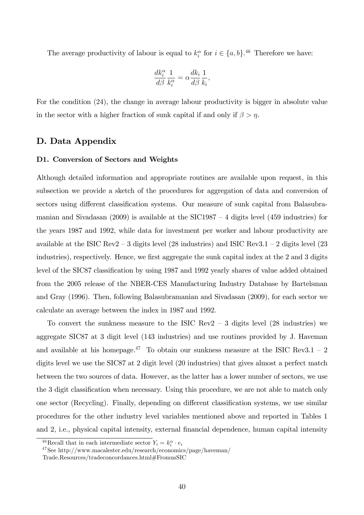The average productivity of labour is equal to  $k_i^{\alpha}$  for  $i \in \{a, b\}.$ <sup>46</sup> Therefore we have:

$$
\frac{dk_i^\alpha}{d\beta}\frac{1}{k_i^\alpha} = \alpha \frac{dk_i}{d\beta}\frac{1}{k_i},
$$

For the condition (24), the change in average labour productivity is bigger in absolute value in the sector with a higher fraction of sunk capital if and only if  $\beta > \eta$ .

### D. Data Appendix

#### D1. Conversion of Sectors and Weights

Although detailed information and appropriate routines are available upon request, in this subsection we provide a sketch of the procedures for aggregation of data and conversion of sectors using different classification systems. Our measure of sunk capital from Balasubramanian and Sivadasan (2009) is available at the SIC1987  $-$  4 digits level (459 industries) for the years 1987 and 1992, while data for investment per worker and labour productivity are available at the ISIC Rev2 – 3 digits level (28 industries) and ISIC Rev3.1 – 2 digits level (23 industries), respectively. Hence, we first aggregate the sunk capital index at the 2 and 3 digits level of the SIC87 classification by using 1987 and 1992 yearly shares of value added obtained from the 2005 release of the NBER-CES Manufacturing Industry Database by Bartelsman and Gray (1996). Then, following Balasubramanian and Sivadasan (2009), for each sector we calculate an average between the index in 1987 and 1992.

To convert the sunkness measure to the ISIC Rev2  $-$  3 digits level (28 industries) we aggregate SIC87 at 3 digit level (143 industries) and use routines provided by J. Haveman and available at his homepage.<sup>47</sup> To obtain our sunkness measure at the ISIC Rev3.1 – 2 digits level we use the SIC87 at 2 digit level (20 industries) that gives almost a perfect match between the two sources of data. However, as the latter has a lower number of sectors, we use the 3 digit classification when necessary. Using this procedure, we are not able to match only one sector (Recycling). Finally, depending on different classification systems, we use similar procedures for the other industry level variables mentioned above and reported in Tables 1 and 2, i.e., physical capital intensity, external financial dependence, human capital intensity

<sup>&</sup>lt;sup>46</sup>Recall that in each intermediate sector  $Y_i = k_i^{\alpha} \cdot e_i$ 

<sup>47</sup>See http://www.macalester.edu/research/economics/page/haveman/

Trade.Resources/tradeconcordances.html#FromusSIC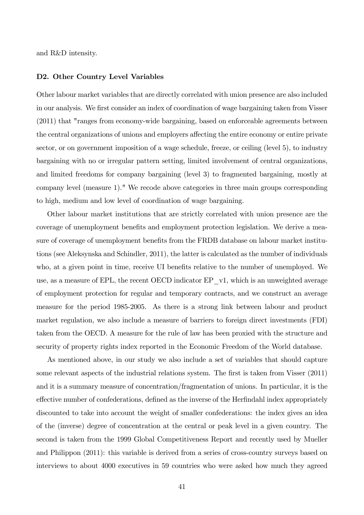and R&D intensity.

#### D2. Other Country Level Variables

Other labour market variables that are directly correlated with union presence are also included in our analysis. We first consider an index of coordination of wage bargaining taken from Visser (2011) that "ranges from economy-wide bargaining, based on enforceable agreements between the central organizations of unions and employers affecting the entire economy or entire private sector, or on government imposition of a wage schedule, freeze, or ceiling (level 5), to industry bargaining with no or irregular pattern setting, limited involvement of central organizations, and limited freedoms for company bargaining (level 3) to fragmented bargaining, mostly at company level (measure 1)." We recode above categories in three main groups corresponding to high, medium and low level of coordination of wage bargaining.

Other labour market institutions that are strictly correlated with union presence are the coverage of unemployment benefits and employment protection legislation. We derive a measure of coverage of unemployment benefits from the FRDB database on labour market institutions (see Aleksynska and Schindler, 2011), the latter is calculated as the number of individuals who, at a given point in time, receive UI benefits relative to the number of unemployed. We use, as a measure of EPL, the recent OECD indicator  $EP_{v1}$ , which is an unweighted average of employment protection for regular and temporary contracts, and we construct an average measure for the period 1985-2005. As there is a strong link between labour and product market regulation, we also include a measure of barriers to foreign direct investments (FDI) taken from the OECD. A measure for the rule of law has been proxied with the structure and security of property rights index reported in the Economic Freedom of the World database.

As mentioned above, in our study we also include a set of variables that should capture some relevant aspects of the industrial relations system. The first is taken from Visser (2011) and it is a summary measure of concentration/fragmentation of unions. In particular, it is the effective number of confederations, defined as the inverse of the Herfindahl index appropriately discounted to take into account the weight of smaller confederations: the index gives an idea of the (inverse) degree of concentration at the central or peak level in a given country. The second is taken from the 1999 Global Competitiveness Report and recently used by Mueller and Philippon (2011): this variable is derived from a series of cross-country surveys based on interviews to about 4000 executives in 59 countries who were asked how much they agreed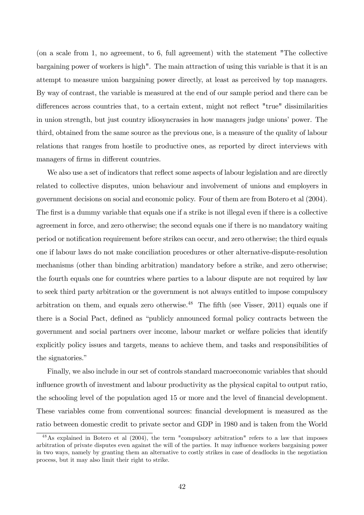(on a scale from 1, no agreement, to 6, full agreement) with the statement "The collective bargaining power of workers is high". The main attraction of using this variable is that it is an attempt to measure union bargaining power directly, at least as perceived by top managers. By way of contrast, the variable is measured at the end of our sample period and there can be differences across countries that, to a certain extent, might not reflect "true" dissimilarities in union strength, but just country idiosyncrasies in how managers judge unions' power. The third, obtained from the same source as the previous one, is a measure of the quality of labour relations that ranges from hostile to productive ones, as reported by direct interviews with managers of firms in different countries.

We also use a set of indicators that reflect some aspects of labour legislation and are directly related to collective disputes, union behaviour and involvement of unions and employers in government decisions on social and economic policy. Four of them are from Botero et al (2004). The first is a dummy variable that equals one if a strike is not illegal even if there is a collective agreement in force, and zero otherwise; the second equals one if there is no mandatory waiting period or notification requirement before strikes can occur, and zero otherwise; the third equals one if labour laws do not make conciliation procedures or other alternative-dispute-resolution mechanisms (other than binding arbitration) mandatory before a strike, and zero otherwise; the fourth equals one for countries where parties to a labour dispute are not required by law to seek third party arbitration or the government is not always entitled to impose compulsory arbitration on them, and equals zero otherwise.<sup>48</sup> The fifth (see Visser, 2011) equals one if there is a Social Pact, defined as "publicly announced formal policy contracts between the government and social partners over income, labour market or welfare policies that identify explicitly policy issues and targets, means to achieve them, and tasks and responsibilities of the signatories."

Finally, we also include in our set of controls standard macroeconomic variables that should influence growth of investment and labour productivity as the physical capital to output ratio, the schooling level of the population aged 15 or more and the level of financial development. These variables come from conventional sources: financial development is measured as the ratio between domestic credit to private sector and GDP in 1980 and is taken from the World

<sup>48</sup>As explained in Botero et al (2004), the term "compulsory arbitration" refers to a law that imposes arbitration of private disputes even against the will of the parties. It may influence workers bargaining power in two ways, namely by granting them an alternative to costly strikes in case of deadlocks in the negotiation process, but it may also limit their right to strike.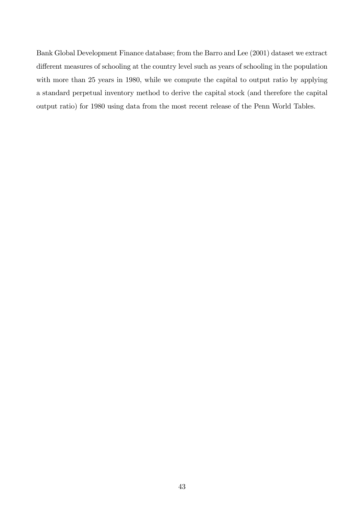Bank Global Development Finance database; from the Barro and Lee (2001) dataset we extract different measures of schooling at the country level such as years of schooling in the population with more than 25 years in 1980, while we compute the capital to output ratio by applying a standard perpetual inventory method to derive the capital stock (and therefore the capital output ratio) for 1980 using data from the most recent release of the Penn World Tables.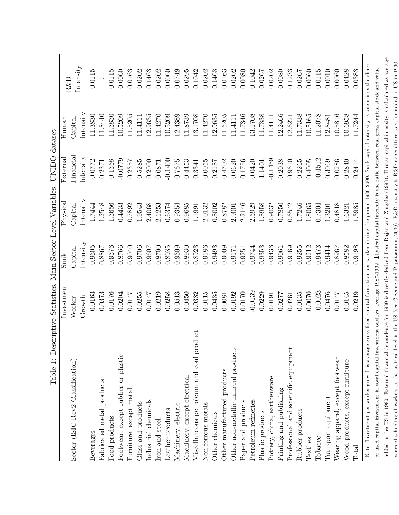| Table 1: Descriptive Statistics, Main Sector Level Variables. UNIDO dataset                                                                                          |            |               |           |           |                                                                                    |           |
|----------------------------------------------------------------------------------------------------------------------------------------------------------------------|------------|---------------|-----------|-----------|------------------------------------------------------------------------------------|-----------|
|                                                                                                                                                                      | Investment | Sunk          | Physica.  | External  | $H$ uman                                                                           | $R\&D$    |
| Sector (ISIC Rev2 Classification)                                                                                                                                    | Worker     | $\rm Capital$ | Capital   | Financial | $\rm Ca$ pital                                                                     | Intensity |
|                                                                                                                                                                      | Growth     | Intensity     | Intensity | Intensity | $\begin{array}{c}\n\text{Intensity}\n\end{array}$                                  |           |
| Beverages                                                                                                                                                            | 0.0163     | 0.9605        | 1.7444    | 0.0772    | 11.3830                                                                            | 0.0115    |
| Fabricated metal products                                                                                                                                            | 0.0373     | 0.8867        | 1.2548    | 0.2371    | 11.8440                                                                            |           |
| Food products                                                                                                                                                        | 0.0176     | 0.9376        | 1.3656    | 0.1368    | .3830<br>$\Box$                                                                    | 0.0115    |
| Footwear, except rubber or plastic                                                                                                                                   | 0.0204     | 0.8766        | 0.4433    | $-0.0779$ | 10.5209                                                                            | 0.0060    |
| Furniture, except metal                                                                                                                                              | 0.0147     | 0.9040        | 0.7892    | 0.2357    | 11.5205                                                                            | 0.0163    |
| Glass and products                                                                                                                                                   | 0.0255     | 0.9706        | 1.9543    | 0.5285    | 11.4111                                                                            | 0.0202    |
| Industrial chemicals                                                                                                                                                 | 0.0147     | 0.9607        | 2.4068    | 0.2000    | 12.9635                                                                            | 0.1463    |
| Iron and steel                                                                                                                                                       | 0.0219     | 0.8700        | 2.1253    | 0.0871    | 11.4270                                                                            | 0.0202    |
| Leather products                                                                                                                                                     | 0.0258     | 0.8935        | 0.6374    | $-0.1400$ | 10.5209                                                                            | 0.0060    |
| Machinery, electric                                                                                                                                                  | 0.0513     | 0.9309        | 0.9354    | 0.7675    | 12.4389                                                                            | 0.0749    |
| Machinery, except electrical                                                                                                                                         | 0.0450     | 0.8930        | 0.9685    | 0.4453    | 11.8739                                                                            | 0.0295    |
| Miscellaneous petroleum and coal product                                                                                                                             | 0.0382     | 0.8923        | 1.1991    | 0.3341    | 13.1708                                                                            | 0.1042    |
| Non-ferrous metals                                                                                                                                                   | 0.0115     | 0.9186        | 2.0132    | 0.0055    | 11.4270                                                                            | 0.0202    |
| Other chemicals                                                                                                                                                      | 0.0435     | 0.9493        | 0.8002    | 0.2187    | 12.9635                                                                            | 0.1463    |
| Other manufactured products                                                                                                                                          | 0.0081     | 0.9009        | 0.8782    | 0.4702    | 11.5205                                                                            | 0.0163    |
| Other non-metallic mineral products                                                                                                                                  | 0.0192     | 0.9171        | 2.9001    | 0.0620    | 11.4111                                                                            | 0.0202    |
| Paper and products                                                                                                                                                   | 0.0170     | 0.9251        | 2.2146    | 0.1756    | 11.7346                                                                            | 0.0080    |
| Petroleum refineries                                                                                                                                                 | $-0.0139$  | 0.9744        | 2.5929    | 0.0420    | 13.1708                                                                            | 0.1042    |
| Plastic products                                                                                                                                                     | 0.0229     | 0.9353        | 1.8958    | 1.1401    | 11.7338                                                                            | 0.0267    |
| Pottery, china, earthenware                                                                                                                                          | 0.0191     | 0.9436        | 0.9032    | $-0.1459$ | 11.4111                                                                            | 0.0202    |
| Printing and publishing                                                                                                                                              | 0.0277     | 0.9061        | 0.7850    | 0.2038    | 12.2466                                                                            | 0.0080    |
| Professional and scientific equipment                                                                                                                                | 0.0261     | 0.9169        | 0.6542    | 0.9610    | 12.6221                                                                            | 0.1233    |
| Rubber products                                                                                                                                                      | 0.0135     | 0.9255        | 1.7246    | 0.2265    | 11.7338                                                                            | 0.0267    |
| Textiles                                                                                                                                                             | 0.0070     | 0.9212        | 1.8065    | 0.4005    | 10.5165                                                                            | 0.0060    |
| Tobacco                                                                                                                                                              | $-0.0023$  | 0.9473        | 0.7304    | $-0.4512$ | 11.2078                                                                            | 0.0115    |
| Transport equipment                                                                                                                                                  | 0.0476     | 0.9414        | 1.3201    | 0.3069    | 12.8481                                                                            | 0.0010    |
| Wearing apparel, except footwear                                                                                                                                     | 0.0147     | 0.8967        | 0.4818    | 0.0286    | 10.5816                                                                            | 0.0060    |
| Wood products, except furniture                                                                                                                                      | 0.0145     | 0.8582        | 1.6321    | 0.2840    | 10.6958                                                                            | 0.0428    |
| Total                                                                                                                                                                | 0.0219     | 0.9198        | 1.3985    | 0.2414    | 11.7244                                                                            | 0.0383    |
| Note: Investment per worker growth is average gross fixed capital formation per worker during the period 1980-2000. Sunk capital intensity is one minus the share    |            |               |           |           |                                                                                    |           |
| of used capital investment in total capital investment outlays, average 1987-1992.                                                                                   |            |               |           |           | Physical capital intensity is the ratio between real gross capital stock and value |           |
| added in the US in 1980. External financial dependence for 1980 is directly derived from Rajan and Zingales (1998). Human capital intensity is calculated as average |            |               |           |           |                                                                                    |           |

years of schooling of workers at the sectoral level in the US (see Ciccone and Papaioannou, 2009). R&D intensity is R&D expenditure to value added in US in 1990.

years of schooling of workers at the sectoral level in the US (see Ciccone and Papaioannou, 2009). R&D intensity is R&D expenditure to value added in US in 1990.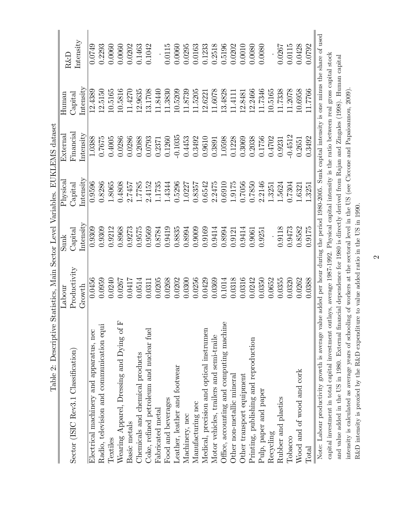| Lable 2. Descriptive                     | Algarisates, Might Decret Agrice. The Carring of the Calgarian                                    |                                                           |                                                                                                                                                   |                                                                                |                                                                                                          |                                                                                                                |
|------------------------------------------|---------------------------------------------------------------------------------------------------|-----------------------------------------------------------|---------------------------------------------------------------------------------------------------------------------------------------------------|--------------------------------------------------------------------------------|----------------------------------------------------------------------------------------------------------|----------------------------------------------------------------------------------------------------------------|
|                                          | Labour                                                                                            | $\operatorname{Sunk}$                                     | Physical                                                                                                                                          | External                                                                       | H <sub>uman</sub>                                                                                        | R&D                                                                                                            |
| Sector (ISIC Rev3.1 Classification)      | Productivity                                                                                      | $\operatorname{Capital}$                                  | $\operatorname{Capital}$                                                                                                                          | Financial                                                                      | Capital                                                                                                  |                                                                                                                |
|                                          | Growth                                                                                            | Intensity                                                 | Intensity                                                                                                                                         | Intensity                                                                      | Intensity                                                                                                | Intensity                                                                                                      |
| Electrical machinery and apparatus, nec  | 0.0456                                                                                            | 0.9309                                                    | 0.9596                                                                                                                                            | 1.0388                                                                         | 12.4389                                                                                                  | 0.0749                                                                                                         |
| Radio, television and communication equi | 0.0959                                                                                            | 0.9309                                                    | 0.8286                                                                                                                                            | 0.7675                                                                         | 12.5150                                                                                                  | 0.2293                                                                                                         |
| Textiles                                 | 0.0240                                                                                            | 0.9212                                                    | 1.8065                                                                                                                                            | 0.4005                                                                         |                                                                                                          | 0.0060                                                                                                         |
| Wearing Apparel, Dressing and Dying of F | 0.0267                                                                                            | 0.8968                                                    | 0.4808                                                                                                                                            | 0.0286                                                                         | $\begin{array}{c} 10.5165 \\ 10.5816 \\ 11.4270 \end{array}$                                             | $\begin{array}{c} 0.0060 \\ 0.0202 \\ 0.1463 \\ 0.1042 \end{array}$                                            |
| Basic metals                             | 0.0417                                                                                            | 0.9273                                                    | 2.7457                                                                                                                                            | 0.0286                                                                         |                                                                                                          |                                                                                                                |
| Chemicals and chemical products          | 0.0514                                                                                            |                                                           |                                                                                                                                                   | 0.2088                                                                         | 12.9635                                                                                                  |                                                                                                                |
| Coke, refined petroleum and nuclear fuel | 0.0311                                                                                            | 0.9575<br>0.9569                                          | $\frac{1.7785}{2.4152}$ 1.1735                                                                                                                    | 0.0793                                                                         | 13.1708<br>11.8440                                                                                       |                                                                                                                |
| Fabricated metal                         | 0.0205                                                                                            | 0.8784                                                    |                                                                                                                                                   | 0.2371                                                                         |                                                                                                          |                                                                                                                |
| Food and beverages                       | 0.0268                                                                                            |                                                           |                                                                                                                                                   | $0.1260\,$                                                                     | 11.3830                                                                                                  |                                                                                                                |
| Leather, leather and footwear            |                                                                                                   | $\begin{array}{c} 0.9419 \\ 0.8835 \\ 0.8994 \end{array}$ |                                                                                                                                                   |                                                                                |                                                                                                          |                                                                                                                |
| Machinery, nec                           |                                                                                                   |                                                           |                                                                                                                                                   |                                                                                |                                                                                                          |                                                                                                                |
| Manufacturing nec                        |                                                                                                   | 0.9009                                                    |                                                                                                                                                   |                                                                                |                                                                                                          |                                                                                                                |
| Medical, precision and optical instrumen | $\begin{array}{c} 0.0202 \\ 0.0300 \\ 0.0256 \\ 0.0429 \\ 0.0439 \\ 0.0369 \\ 0.0369 \end{array}$ | 0.9169<br>0.9414                                          | $\begin{array}{l} 1.4344\\ 0.5296\\ 1.0227\\ 1.0357\\ 0.6542\\ 0.6542\\ 0.1010\\ 0.0010\\ 0.7056\\ 0.7850\\ 1.3251\\ 1.3251\\ 1.5624 \end{array}$ | $\begin{array}{c} -0.1035 \\ 0.4453 \\ 0.3492 \\ 0.9610 \\ 0.0610 \end{array}$ | $\begin{array}{c} 10.5209 \\ 11.8739 \\ 11.5205 \\ 12.6221 \\ 11.6078 \\ 11.6078 \\ 13.4828 \end{array}$ | $\begin{array}{l} 0.0115 \\ 0.0060 \\ 0.0295 \\ 0.0163 \\ 0.1233 \\ 0.2518 \\ 0.5196 \\ 0.0020 \\ \end{array}$ |
| Motor vehicles, trailers and semi-traile |                                                                                                   |                                                           |                                                                                                                                                   |                                                                                |                                                                                                          |                                                                                                                |
| Office, accounting and computing machine |                                                                                                   | 0.8994                                                    |                                                                                                                                                   | 1.0598                                                                         |                                                                                                          |                                                                                                                |
| Other non-metallic mineral               | 0.0318                                                                                            | 0.9121                                                    |                                                                                                                                                   |                                                                                | 11.4111                                                                                                  |                                                                                                                |
| Other transport equipment                | 0.0316                                                                                            | $\begin{array}{c} 0.9414 \\ 0.9061 \\ 0.9251 \end{array}$ |                                                                                                                                                   | $\begin{array}{c} 0.1228 \\ 0.3069 \\ 0.2038 \end{array}$                      | 12.8481                                                                                                  | $\begin{array}{c} 0.0010 \\ 0.0080 \\ 0.0080 \end{array}$                                                      |
| Printing, publishing and reproduction    | 0.242                                                                                             |                                                           |                                                                                                                                                   |                                                                                | 12.2466                                                                                                  |                                                                                                                |
| Pulp, paper and paper                    | 0.0350                                                                                            |                                                           |                                                                                                                                                   | 0.1756                                                                         | 11.7346                                                                                                  |                                                                                                                |
| Recycling                                | 0.0652                                                                                            |                                                           |                                                                                                                                                   | 0.4702                                                                         |                                                                                                          |                                                                                                                |
| Rubber and plastics                      | 0.3555                                                                                            | 0.9118<br>0.9473                                          |                                                                                                                                                   | 0.9231                                                                         | $\begin{array}{c} 10.5165 \\ 11.7338 \\ 11.2078 \end{array}$                                             | 1.0267                                                                                                         |
| Tobacco                                  | 0320                                                                                              |                                                           | 0.7304                                                                                                                                            | $-0.4512$                                                                      |                                                                                                          | 0.0115                                                                                                         |
| Wood and of wood and cork                | 0.0262                                                                                            | 0.8582                                                    | $-.6321$                                                                                                                                          | 0.2651                                                                         | 10.6958<br>11.7766                                                                                       |                                                                                                                |
| Total                                    | 0.0388                                                                                            | 0.9175                                                    | 1.3251                                                                                                                                            | 0.3492                                                                         |                                                                                                          | 0.0428<br>0.0792                                                                                               |

Table 2: Descriptive Statistics, Main Sector Level Variables, FUKLEMS dataset Table 2: Descriptive Statistics, Main Sector Level Variables. EUKLEMS dataset Note: Labour productivity growth is average value added per hour during the period 1980-2005. Sunk capital intensity is one minus the share of used Note: Labour productivity growth is average value added per hour during the period 1980-2005. Sunk capital intensity is one minus the share of used capital investment in total capital investment outlays, average 1987-1992. Physical capital intensity is the ratio between real gross capital stock capital investment in total capital investment outlays, average 1987-1992. Physical capital intensity is the ratio between real gross capital stock and value added in the US in 1980. External financial dependence for 1980 is directly derived from Rajan and Zingales (1998). Human capital and value added in the US in 1980. External Önancial dependence for 1980 is directly derived from Rajan and Zingales (1998). Human capital intensity is calculated as average years of schooling of workers at the sectoral level in the US (see Ciccone and Papaioannou, 2009). intensity is calculated as average years of schooling of workers at the sectoral level in the US (see Ciccone and Papaioannou, 2009). R&D intensity is proxied by the R&D expenditure to value added ratio in the US in 1990. R&D intensity is proxied by the R&D expenditure to value added ratio in the US in 1990.

 $\infty$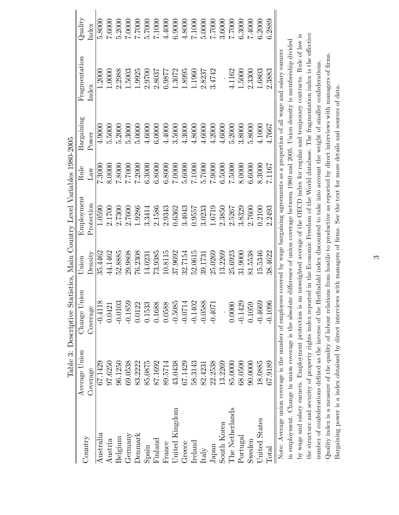|                 |                                                        | Table 3: Descriptive Statistics, Main Country Level Variables 1980-2005                                                                              |         |            |           |                       |                                                                                           |         |
|-----------------|--------------------------------------------------------|------------------------------------------------------------------------------------------------------------------------------------------------------|---------|------------|-----------|-----------------------|-------------------------------------------------------------------------------------------|---------|
| Country         | Average Union                                          | Change Union                                                                                                                                         | Union   | Employment | Rule      | $\mathrm{Bargaining}$ | Fragmentation                                                                             | Quality |
|                 | Coverage                                               | Coverage                                                                                                                                             | Density | Protection | $\rm Law$ | Power                 | Index                                                                                     | Index   |
| Australia       | 67.1429                                                | $-0.4118$                                                                                                                                            | 35.4462 | 1.0590     | 7.3000    | 4.9000                | 1.2000                                                                                    | 5.8000  |
| Austria         | 97.6250                                                | 0.0421                                                                                                                                               | 44.1462 | 2.1700     | 8.0000    | 5.5000                | 1.0000                                                                                    | 7.6000  |
| Belgium         | 96.1250                                                | $-0.0103$                                                                                                                                            | 52.8885 | 2.7300     | 7.8000    | 5.2000                | 2.2988                                                                                    | 5.2000  |
| Germany         | 69.0538                                                | $-0.1859$                                                                                                                                            | 29.9808 | 2.7600     | 7.7000    | 5.3000                | 1.5003                                                                                    | 7.0000  |
| Denmark         | 83.2222                                                | 0.0122                                                                                                                                               | 76.2308 | 1.9286     | 7.2000    | 5.0000                | 1.9925                                                                                    | 7.000   |
| Spain           | 85.0875                                                | 0.1533                                                                                                                                               | 14.0231 | 3.3414     | 6.3000    | 4.6000                | 2.9700                                                                                    | 5.7000  |
| Finland         | 87.1692                                                | 0.1688                                                                                                                                               | 73.9385 | 2.1586     | 6.8000    | 6.0000                | 2.8037                                                                                    | 7.1000  |
| France          | 89.5714                                                | 0.0588                                                                                                                                               | 10.8115 | 2.9343     | 6.8000    | 4.4000                | 6.9877                                                                                    | 4.4000  |
| United Kingdom  | 43.0438                                                | $-0.5085$                                                                                                                                            | 37.9692 | 0.6362     | 7.0000    | 3.5000                | 1.3072                                                                                    | 6.9000  |
| Greece          | 67.1429                                                | $-0.0714$                                                                                                                                            | 32.7154 | 3.4043     | 5.6000    | 4.3000                | 1.8995                                                                                    | 4.8000  |
| $I$ reland      | 58.3143                                                | $-0.1402$                                                                                                                                            | 52.0615 | 0.9557     | 7.1000    | 4.8000                | 1.1960                                                                                    | 7.1000  |
| Italy           | 82.4231                                                | $-0.0588$                                                                                                                                            | 39.1731 | 3.0233     | 5.7000    | 4.6000                | 2.8237                                                                                    | 5.0000  |
| Japan           | 22.2538                                                | $-0.4071$                                                                                                                                            | 25.0269 | 1.6719     | 7.9000    | 4.2000                | 3.4742                                                                                    | 7.000   |
| South Korea     | 13.2269                                                |                                                                                                                                                      | 13.2269 | 2.3850     | 6.5000    | 4.6000                |                                                                                           | 3.6000  |
| The Netherlands | 85.0000                                                | 0.0000                                                                                                                                               | 25.6923 | 2.5267     | 7.5000    | 5.2000                | 4.1162                                                                                    | 7.000   |
| Portugal        | 68.0500                                                | $-0.1429$                                                                                                                                            | 31.9000 | 3.8329     | 8.0000    | 3.8000                | 1.5000                                                                                    | 6.3000  |
| $S$ weden       | 90.000                                                 | 0.1059                                                                                                                                               | 81.5538 | 2.7600     | 6.6000    | 5.8000                | 2.3300                                                                                    | 7.4000  |
| United States   | 18.0885                                                | $-0.4669$                                                                                                                                            | 15.5346 | 0.2100     | 8.3000    | 4.1000                | 1.6803                                                                                    | 6.2000  |
| $\rm Total$     | 67.9189                                                | $-0.1096$                                                                                                                                            | 38.4622 | 2.2493     | 7.1167    | 4.7667                | 2.3883                                                                                    | 6.2889  |
|                 |                                                        | Note: Average union coverage is the number of employees covered by wage bargaining agreements as a proportion of all wage and salary earners         |         |            |           |                       |                                                                                           |         |
|                 | in employment. Change in union coverage is the absolut |                                                                                                                                                      |         |            |           |                       | e difference of union coverage between 1980 and 2005. Union density is membership divided |         |
|                 |                                                        | by wage and salary earners. Employment protection is an unweighted average of the OECD index for regular and temporary contracts. Rule of law is     |         |            |           |                       |                                                                                           |         |
|                 |                                                        | the structure and security of property rights index reported in the Economic Freedom of the World database. The fragmentation index is the effective |         |            |           |                       |                                                                                           |         |
|                 |                                                        | number of confederations defined as the inverse of the Herfindahl index discounted to take into account the weight of smaller confederations         |         |            |           |                       |                                                                                           |         |
|                 |                                                        | Quality index is a measure of the quality of labour relations from hostile to productive as reported by direct interviews with managers of firms     |         |            |           |                       |                                                                                           |         |
|                 |                                                        | Bargaining power is a index obtained by direct interviews with managers of firms. See the text for more details and sources of data.                 |         |            |           |                       |                                                                                           |         |

 $\infty$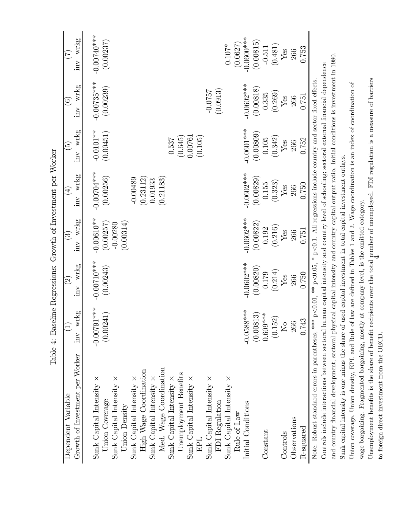|                                                                                                                                                    | Tapie 4: Dashine Regressions: Growth of Investigation per Worker |                                            |                               |                             |                                 |                                                                      |                             |
|----------------------------------------------------------------------------------------------------------------------------------------------------|------------------------------------------------------------------|--------------------------------------------|-------------------------------|-----------------------------|---------------------------------|----------------------------------------------------------------------|-----------------------------|
| Dependent Variable                                                                                                                                 | $\widehat{\Xi}$                                                  | $\widetilde{\Omega}$                       | $\widetilde{\mathfrak{S}}$    | $\bigoplus$                 | $\widetilde{\mathfrak{G}}$      | $\widehat{\mathfrak{S}}$                                             | E                           |
| Growth of Investment per Worker                                                                                                                    | $inv_{wkg}$                                                      | wrkg<br>$\sum$                             | wrkg<br>$\overline{\text{m}}$ | wrkg<br>inv                 | wrkg<br>$\overline{\text{inv}}$ | wrkg<br>inv                                                          | wrkg<br>inv                 |
| Sunk Capital Intensity $\times$<br>Union Coverage                                                                                                  | $-0.00791***$<br>(0.00241)                                       | $-0.00710***$<br>(0.00243)                 | $-0.00610**$<br>(0.00257)     | $-0.007004***$<br>(0.00256) | $-0.0101**$<br>(0.00451)        | $-0.00735***$<br>(0.00239)                                           | $-0.00740$ ***<br>(0.00237) |
| Sunk Capital Intensity $\times$                                                                                                                    |                                                                  |                                            | $-0.00280$                    |                             |                                 |                                                                      |                             |
| Sunk Capital Intensity $\times$<br>Union Density                                                                                                   |                                                                  |                                            | (0.00314)                     | $-0.00489$                  |                                 |                                                                      |                             |
| High Wage Coordination                                                                                                                             |                                                                  |                                            |                               | (0.23112)                   |                                 |                                                                      |                             |
| Sunk Capital Intensity $\times$                                                                                                                    |                                                                  |                                            |                               | 0.01933                     |                                 |                                                                      |                             |
| Med. Wage Coordination                                                                                                                             |                                                                  |                                            |                               | (0.21183)                   |                                 |                                                                      |                             |
| Sunk Capital Intensity                                                                                                                             |                                                                  |                                            |                               |                             | 0.537                           |                                                                      |                             |
| Unemployment Benefits                                                                                                                              |                                                                  |                                            |                               |                             | (0.645)                         |                                                                      |                             |
| Sunk Capital Intensity $\times$                                                                                                                    |                                                                  |                                            |                               |                             | 0.00761                         |                                                                      |                             |
|                                                                                                                                                    |                                                                  |                                            |                               |                             | (0.105)                         |                                                                      |                             |
| Sunk Capital Intensity $\times$                                                                                                                    |                                                                  |                                            |                               |                             |                                 | $-0.0757$                                                            |                             |
| FDI Regulation                                                                                                                                     |                                                                  |                                            |                               |                             |                                 | (0.0913)                                                             |                             |
| Sunk Capital Intensity $\times$                                                                                                                    |                                                                  |                                            |                               |                             |                                 |                                                                      | $0.107*$                    |
| Rule of Law                                                                                                                                        |                                                                  |                                            |                               |                             |                                 |                                                                      | (0.0627)                    |
| Initial Conditions                                                                                                                                 | $-0.0588***$                                                     | $-0.0602***$                               | $-0.0602***$                  | $-0.0602***$                | $-0.0601***$                    | $-0.0602***$                                                         | $-0.0600$ ***               |
|                                                                                                                                                    | (0.00813)                                                        | (0.00820)                                  | (0.00822)                     | (0.00829)                   | (0.00809)                       | (0.00818)                                                            | (0.00815)                   |
| Constant                                                                                                                                           | $0.609***$                                                       | 0.179                                      | 0.192                         | $0.155\,$                   | $0.105\,$                       | 0.335                                                                | $-0.511$                    |
|                                                                                                                                                    | (0.152)                                                          | (0.214)                                    | (0.216)                       | (0.323)                     | (0.342)                         | (0.269)                                                              | (0.481)                     |
| Controls                                                                                                                                           | $\overline{N}_{\overline{O}}$                                    | $Y_{ES}$                                   | ${\rm Yes}$                   | Yes                         | Yes                             | Yes                                                                  | Yes                         |
| Observations                                                                                                                                       | 266                                                              | 266                                        | 266                           | 266                         | 266                             | 266                                                                  | 266                         |
| R-squared                                                                                                                                          | 0.743                                                            | 0.750                                      | 0.751                         | 0.750                       | 0.752                           | 0.751                                                                | 0.753                       |
| Note: Robust standard errors in parentheses; ***                                                                                                   | $p<0.01$ ,                                                       | $\ast\ast$ p<0.05,                         |                               |                             |                                 | $*$ p<0.1. All regressions include country and sector fixed effects. |                             |
| Controls include interactions between sectoral human capital intensity and country level of schooling; sectoral external financial dependence      |                                                                  |                                            |                               |                             |                                 |                                                                      |                             |
| and country financial development, sectoral physical capital intensity and country capital output ratio. Initial conditions is investment in 1980. |                                                                  |                                            |                               |                             |                                 |                                                                      |                             |
| Sunk capital intensity is one minus the share of used capital investment in total capital investment outlays.                                      |                                                                  |                                            |                               |                             |                                 |                                                                      |                             |
| Union coverage, Union density, EPL and Rule of law are defined in Tables 1 and 2. Wage coordination is an index of coordination of                 |                                                                  |                                            |                               |                             |                                 |                                                                      |                             |
| wage bargaining. Fragmented bargaining, mostly                                                                                                     |                                                                  | at company level, is the omitted category. |                               |                             |                                 |                                                                      |                             |
| Unemployment benefits is the share of benefit recipients over the total number of unemployed. FDI regulation is a measure of barriers              |                                                                  |                                            |                               |                             |                                 |                                                                      |                             |
| to foreign direct investment from the OECD.                                                                                                        |                                                                  |                                            |                               |                             |                                 |                                                                      |                             |

Table 4: Baseline Regressions: Growth of Investment per Worker Table 4: Baseline Regressions: Growth of Investment per Worker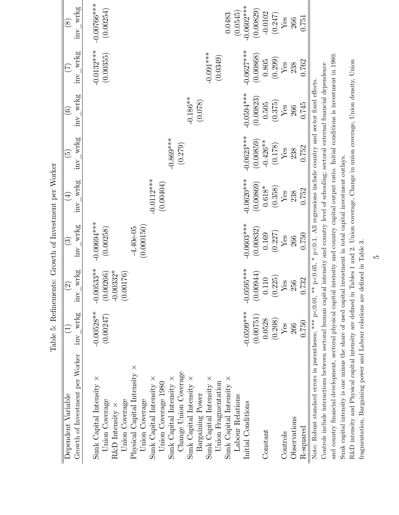| Growth of Investment per Worker<br>Dependent Variable                                                                                                                                                                                                                                                                                                                                                                                                                                                                                                                                                                                                                                                                  | inv wrkg                                        | wrkg<br>$\widetilde{2}$<br>$\overline{\text{m}}$      | inv wrkg<br>$\overline{\mathcal{E}}$                                           | wrkg<br>$\bigoplus$<br>$\overline{\text{m}}$      | wrkg<br>$\widetilde{5}$<br>$\overline{\text{m}}$   | wrkg<br>$\odot$<br>inv                            | wrkg<br>(7)<br>inv                                   | inv wrkg<br>$\circledS$                            |
|------------------------------------------------------------------------------------------------------------------------------------------------------------------------------------------------------------------------------------------------------------------------------------------------------------------------------------------------------------------------------------------------------------------------------------------------------------------------------------------------------------------------------------------------------------------------------------------------------------------------------------------------------------------------------------------------------------------------|-------------------------------------------------|-------------------------------------------------------|--------------------------------------------------------------------------------|---------------------------------------------------|----------------------------------------------------|---------------------------------------------------|------------------------------------------------------|----------------------------------------------------|
| Physical Capital Intensity $\times$<br>Change Union Coverage<br>Sunk Capital Intensity $\times$<br>Sunk Capital Intensity $\times$<br>Sunk Capital Intensity $\times$<br>Sunk Capital Intensity $\times$<br>Sunk Capital Intensity $\times$<br>Sunk Capital Intensity $\times$<br>Union Fragmentation<br>Union Coverage 1980<br>Bargaining Power<br>Labour Relations<br>Union Coverage<br>Union Coverage<br>Union Coverage<br>R&D Intensity $\times$                                                                                                                                                                                                                                                                   | $-0.00528**$<br>(0.00247)                       | $-0.00533**$<br>$(0.00266)$<br>-0.00332*<br>(0.00176) | $-0.00694***$<br>(0.000150)<br>$-4.40e-05$<br>(0.00258)                        | $-0.0112***$<br>(0.00404)                         | $-0.869***$<br>(0.279)                             | $-0.186**$<br>(0.078)                             | $-0.0132***$<br>$-0.001***$<br>(0.00355)<br>(0.0349) | $-0.00766***$<br>(0.00254)<br>(0.0545)<br>0.0483   |
| Initial Conditions<br>Constant                                                                                                                                                                                                                                                                                                                                                                                                                                                                                                                                                                                                                                                                                         | $-0.0599$ ***<br>(0.00751)<br>0.0528<br>(0.208) | $-0.0595***$<br>(0.00944)<br>(0.225)<br>0.110         | $-0.0603***$<br>(0.00832)<br>(0.227)<br>0.169                                  | $-0.0620***$<br>(0.00869)<br>$0.618^*$<br>(0.358) | $-0.0623***$<br>(0.00859)<br>$-0.426**$<br>(0.178) | $-0.0594***$<br>(0.00823)<br>(0.375)<br>$0.505\,$ | $-0.0627***$<br>(0.00868)<br>$(0.805)$<br>(0.299)    | $-0.0602$ ***<br>(0.00829)<br>$-0.0102$<br>(0.247) |
| Observations<br>R-squared<br>Controls                                                                                                                                                                                                                                                                                                                                                                                                                                                                                                                                                                                                                                                                                  | 0.750<br>Yes<br>266                             | 0.732<br>Yes<br>256                                   | 0.750<br>$Y$ es<br>266                                                         | 0.752<br>${\it Yes}$<br>238                       | 0.752<br>$Y$ es<br>238                             | 0.745<br>${\rm Yes}$<br>266                       | 0.762<br>Yes<br>238                                  | 0.751<br>Yes<br>266                                |
| and country financial development, sectoral physical capital intensity and country capital output ratio. Initial conditions is investment in 1980.<br>Controls include interactions between sectoral human capital intensity and country level of schooling; sectoral external financial dependence<br>Note: Robust standard errors in parentheses; *** $p<0.01$ , ** $p<0.05$ , * $p<0.1$ . All regressions include country and sector fixed effects.<br>Sunk capital intensity is one minus the share of used capital investment in total capital investment outlays.<br>fragmentation, Bargaining power and Labour relations are defined in Table 3.<br>R&D intensity and Physical capital intensity are defined in |                                                 |                                                       | Tables 1 and 2. Union coverage, Change in union coverage, Union density, Union |                                                   |                                                    |                                                   |                                                      |                                                    |

Table 5: Refinements: Growth of Investment per Worker Table 5: ReÖnements: Growth of Investment per Worker

 $\overline{5}$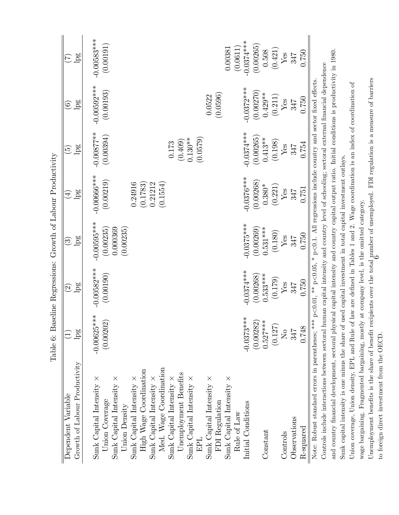|                                                                                                                                                                                                                                                                                                                                                                                                                                               | Table 6: Baseline Regressions: Growth of Labour Productivity |                                    |                                                     |                                                                          |                                                                         |                                                  |                                                   |
|-----------------------------------------------------------------------------------------------------------------------------------------------------------------------------------------------------------------------------------------------------------------------------------------------------------------------------------------------------------------------------------------------------------------------------------------------|--------------------------------------------------------------|------------------------------------|-----------------------------------------------------|--------------------------------------------------------------------------|-------------------------------------------------------------------------|--------------------------------------------------|---------------------------------------------------|
| Dependent Variable                                                                                                                                                                                                                                                                                                                                                                                                                            |                                                              | $\widehat{\mathfrak{D}}$           | $\widehat{\mathbb{C}}$                              | $\bigoplus$                                                              | $\widehat{\mathbb{G}}$                                                  | $\widehat{\mathfrak{s}}$                         | E                                                 |
| Growth of Labour Productivity                                                                                                                                                                                                                                                                                                                                                                                                                 | lpg                                                          | lpg                                | lpg                                                 | lpg                                                                      | lpg                                                                     | lpg                                              | lpg                                               |
| Med. Wage Coordination<br>High Wage Coordination<br>Unemployment Benefits<br>Sunk Capital Intensity $\times$<br>Sunk Capital Intensity $\times$<br>Sunk Capital Intensity $\times$<br>Sunk Capital Intensity $\times$<br>Sunk Capital Intensity $\times$<br>Sunk Capital Intensity $\times$<br>Sunk Capital Intensity $\times$<br>Sunk Capital Intensity $\times$<br>Union Coverage<br>FDI Regulation<br>Union Density<br>Rule of Law<br>EPI. | $-0.00625***$<br>(0.00202)                                   | $-0.00582***$<br>(0.00190)         | $-0.00595***$<br>(0.00235)<br>0.000369<br>(0.00235) | $-0.00666***$<br>(0.00219)<br>(0.1554)<br>0.24916<br>0.21212<br>(0.1783) | $-0.00877$ **<br>(0.00394)<br>(0.0579)<br>$(0.409)$<br>0.130**<br>0.173 | $-0.00592***$<br>(0.00193)<br>(0.0596)<br>0.0522 | $-0.00583***$<br>(0.00191)<br>(0.0611)<br>0.00381 |
| Initial Conditions                                                                                                                                                                                                                                                                                                                                                                                                                            | $-0.0373***$                                                 | $-0.0374***$                       | $-0.0375***$                                        | $-0.0376***$                                                             | $-0.0374***$                                                            | $-0.0372***$                                     | $-0.0374***$                                      |
| Constant                                                                                                                                                                                                                                                                                                                                                                                                                                      | (0.00282)<br>$0.527***$<br>(0.127)                           | $0.533***$<br>(0.00268)<br>(0.179) | (0.00269)<br>$0.531***$<br>(0.180)                  | (0.00268)<br>(0.221)<br>$0.380*$                                         | (0.00265)<br>$0.413**$<br>(0.198)                                       | (0.00270)<br>$0.429**$<br>(0.211)                | (0.00265)<br>(0.421)<br>0.508                     |
| Controls                                                                                                                                                                                                                                                                                                                                                                                                                                      | $\rm N_{O}$                                                  | ${\it Yes}$                        | $\mathbf{Yes}$                                      | ${\it Yes}$                                                              | ${\rm Yes}$                                                             | ${\it Yes}$                                      | ${\rm Yes}$                                       |
| Observations                                                                                                                                                                                                                                                                                                                                                                                                                                  | 347                                                          | 347                                | 347                                                 | 347                                                                      | 347                                                                     | 347                                              | 347                                               |
| R-squared                                                                                                                                                                                                                                                                                                                                                                                                                                     | 0.748                                                        | 0.750                              | 0.750                                               | 0.751                                                                    | 0.754                                                                   | 0.750                                            | 0.750                                             |
| Note: Robust standard errors in parentheses; *** $p<0.01$ , ** $p<0.05$ , * $p<0.1$ . All regressions include country and sector fixed effects.                                                                                                                                                                                                                                                                                               |                                                              |                                    |                                                     |                                                                          |                                                                         |                                                  |                                                   |
| Controls include interactions between sectoral human capital intensity and country level of schooling; sectoral external financial dependence                                                                                                                                                                                                                                                                                                 |                                                              |                                    |                                                     |                                                                          |                                                                         |                                                  |                                                   |
| and country financial development, sectoral physical capital intensity and country capital output ratio. Initial conditions is productivity in 1980.                                                                                                                                                                                                                                                                                          |                                                              |                                    |                                                     |                                                                          |                                                                         |                                                  |                                                   |
| Sunk capital intensity is one minus the share of used capital investment in total capital investment outlays.                                                                                                                                                                                                                                                                                                                                 |                                                              |                                    |                                                     |                                                                          |                                                                         |                                                  |                                                   |
| Union coverage, Union density, EPL and Rule of law are defined in Tables 1 and 2. Wage coordination is an index of coordination of                                                                                                                                                                                                                                                                                                            |                                                              |                                    |                                                     |                                                                          |                                                                         |                                                  |                                                   |
| wage bargaining. Fragmented bargaining, mostly at company level, is the omitted category.                                                                                                                                                                                                                                                                                                                                                     |                                                              |                                    |                                                     |                                                                          |                                                                         |                                                  |                                                   |
| Unemployment benefits is the share of benefit recipients over the total number of unemployed. FDI regulation is a measure of barriers                                                                                                                                                                                                                                                                                                         |                                                              |                                    |                                                     |                                                                          |                                                                         |                                                  |                                                   |
| to foreign direct investment from the OECD.                                                                                                                                                                                                                                                                                                                                                                                                   |                                                              |                                    |                                                     |                                                                          |                                                                         |                                                  |                                                   |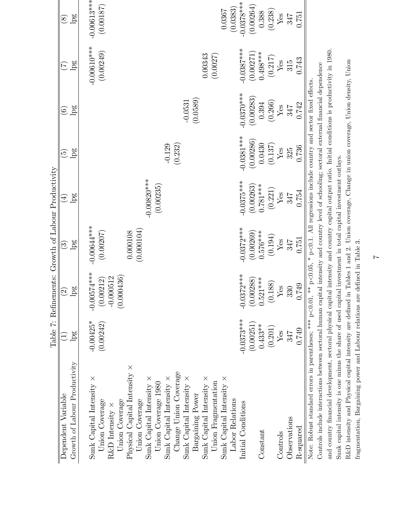|                                                                                                                                                                                                                                                                                                                                                                                               |                           |                                                         | Table 7: Refinements: Growth of Labour Productivity  |                            |                           |                           |                                                   |                            |
|-----------------------------------------------------------------------------------------------------------------------------------------------------------------------------------------------------------------------------------------------------------------------------------------------------------------------------------------------------------------------------------------------|---------------------------|---------------------------------------------------------|------------------------------------------------------|----------------------------|---------------------------|---------------------------|---------------------------------------------------|----------------------------|
| Dependent Variable                                                                                                                                                                                                                                                                                                                                                                            | E                         | $\bigcirc$                                              | $\widehat{\mathfrak{S}}$                             | $\bigoplus$                | وبرَ                      | $\odot$                   | $\widetilde{\mathcal{F}}$                         | $\bigcirc$                 |
| Growth of Labour Productivity                                                                                                                                                                                                                                                                                                                                                                 | lpg                       | $\log$                                                  | lpg                                                  | pg                         | pg                        | pg                        | pg                                                | lpg                        |
| Physical Capital Intensity $\times$<br>Change Union Coverage<br>Sunk Capital Intensity $\times$<br>Sunk Capital Intensity $\times$<br>Sunk Capital Intensity $\times$<br>Sunk Capital Intensity $\times$<br>Sunk Capital Intensity $\times$<br>Union Fragmentation<br>Union Coverage 1980<br>Bargaining Power<br>Union Coverage<br>Union Coverage<br>Union Coverage<br>R&D Intensity $\times$ | $-0.00425*$<br>(0.00242)  | $-0.00574***$<br>(0.000436)<br>$-0.000512$<br>(0.00212) | $-0.00644***$<br>(0.000104)<br>(0.00207)<br>0.000108 | $-0.00820$ **<br>(0.00235) | (0.232)<br>$-0.129$       | (0.0589)<br>$-0.0531$     | $-0.00610***$<br>(0.00249)<br>0.00343<br>(0.0027) | $-0.00613***$<br>(0.00187) |
| Sunk Capital Intensity $\times$<br>Labor Relations                                                                                                                                                                                                                                                                                                                                            |                           |                                                         |                                                      |                            |                           |                           |                                                   | (0.0383)<br>0.0367         |
| Initial Conditions                                                                                                                                                                                                                                                                                                                                                                            | $-0.0373***$<br>(0.00251) | $-0.0372***$<br>(0.00288)                               | $-0.0372***$<br>(0.00269)                            | $-0.0375***$<br>(0.00263)  | $-0.0381***$<br>(0.00286) | $-0.0370***$<br>(0.00283) | $-0.0387***$                                      | $-0.0378***$<br>(0.00264)  |
| Constant                                                                                                                                                                                                                                                                                                                                                                                      | $0.433**$<br>(0.201)      | $0.521***$<br>(0.188)                                   | $0.576***$<br>(0.194)                                | $0.781***$<br>(0.221)      | 0.0430                    | (0.266)<br>0.394          | $(0.00271)$<br>0.498***<br>(0.217)                | (0.238)<br>0.388           |
| Controls                                                                                                                                                                                                                                                                                                                                                                                      | Yes                       | $\mathbf{Yes}$                                          | ${\bf Yes}$                                          | ${\rm Yes}$                | (0.137)<br>${\rm Yes}$    | $\operatorname{Yes}$      | ${\rm Yes}$                                       | $\mathbf{Yes}$             |
| Observations                                                                                                                                                                                                                                                                                                                                                                                  | 347                       | 330                                                     | 347                                                  | 347                        | 325                       | 347                       | 315                                               | 347                        |
| R-squared                                                                                                                                                                                                                                                                                                                                                                                     | 0.749                     | 0.749                                                   | 0.751                                                | 0.754                      | 0.736                     | 0.742                     | 0.743                                             | 0.751                      |
| Note: Robust standard errors in parentheses; *** $p<0.01$ , ** $p<0.05$ , * $p<0.1$ . All regressions include country and sector fixed effects.                                                                                                                                                                                                                                               |                           |                                                         |                                                      |                            |                           |                           |                                                   |                            |
| Controls include interactions between sectoral human capital intensity and country level of schooling; sectoral external financial dependence                                                                                                                                                                                                                                                 |                           |                                                         |                                                      |                            |                           |                           |                                                   |                            |
| and country financial development, sectoral physical capital intensity and country capital output ratio. Initial conditions is productivity in 1980.                                                                                                                                                                                                                                          |                           |                                                         |                                                      |                            |                           |                           |                                                   |                            |
| Sunk capital intensity is one minus the share of used capital investment in total capital investment outlays.                                                                                                                                                                                                                                                                                 |                           |                                                         |                                                      |                            |                           |                           |                                                   |                            |

R&D intensity and Physical capital intensity are defined in Tables 1 and 2. Union coverage, Change in union coverage, Union density, Union R&D intensity and Physical capital intensity are defined in Tables 1 and 2. Union coverage, Change in union coverage, Union density, Union fragmentation, Bargaining power and Labour relations are defined in Table 3. fragmentation, Bargaining power and Labour relations are defined in Table 3.

 $\overline{z}$